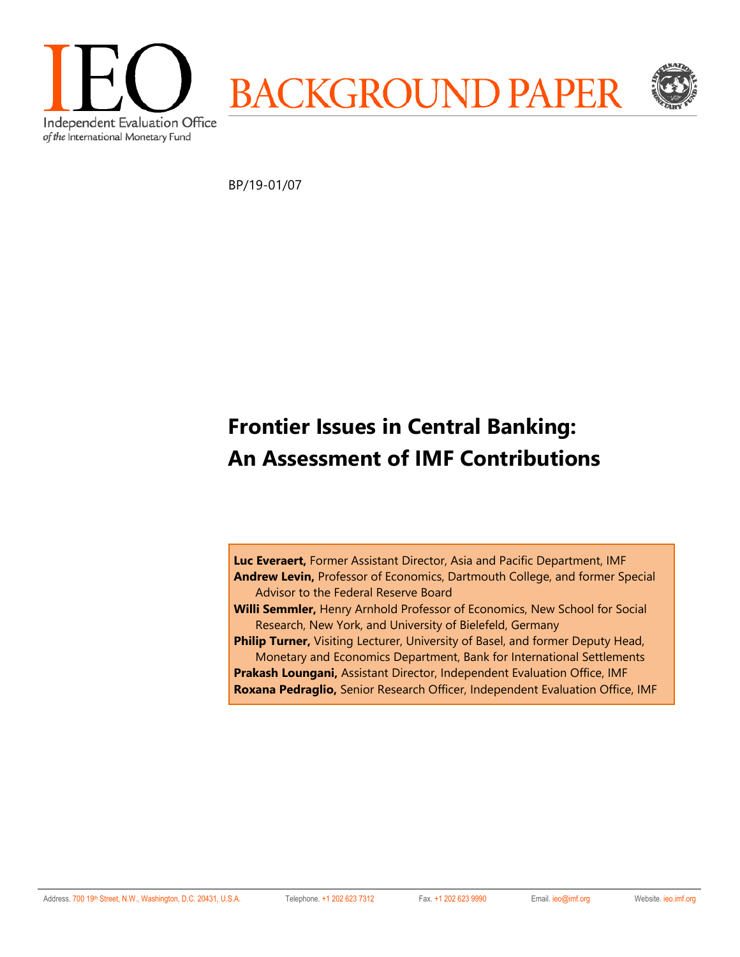

BP/19-01/07

## **Frontier Issues in Central Banking: An Assessment of IMF Contributions**

**Luc Everaert,** Former Assistant Director, Asia and Pacific Department, IMF **Andrew Levin,** Professor of Economics, Dartmouth College, and former Special Advisor to the Federal Reserve Board

**Willi Semmler,** Henry Arnhold Professor of Economics, New School for Social Research, New York, and University of Bielefeld, Germany

**Philip Turner,** Visiting Lecturer, University of Basel, and former Deputy Head, Monetary and Economics Department, Bank for International Settlements

**Prakash Loungani,** Assistant Director, Independent Evaluation Office, IMF **Roxana Pedraglio,** Senior Research Officer, Independent Evaluation Office, IMF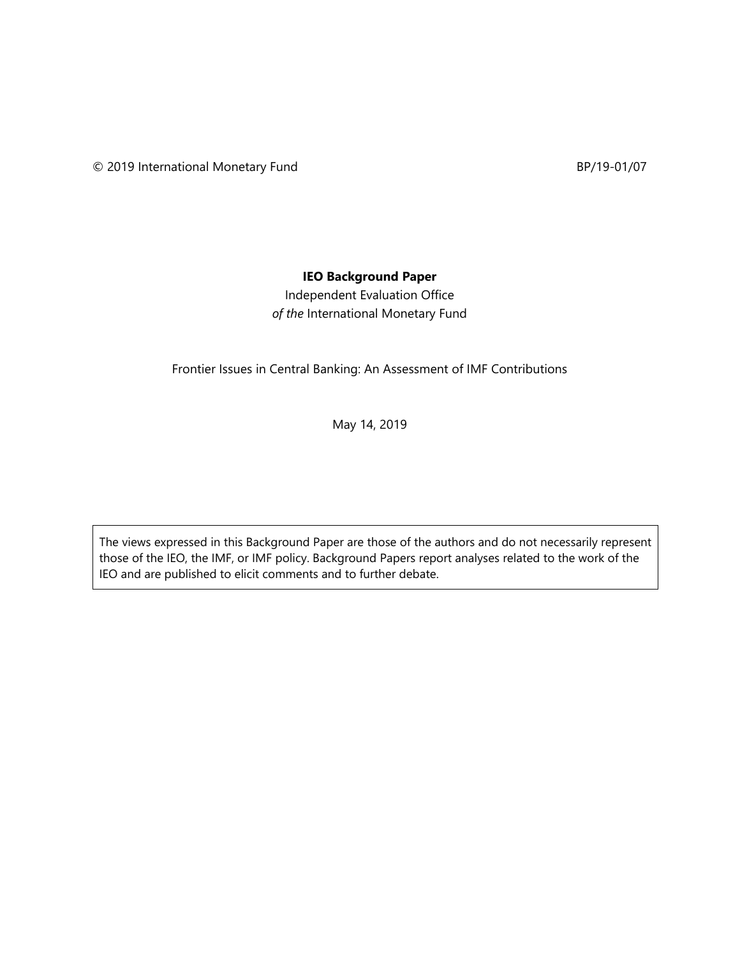## **IEO Background Paper**

Independent Evaluation Office *of the* International Monetary Fund

Frontier Issues in Central Banking: An Assessment of IMF Contributions

May 14, 2019

The views expressed in this Background Paper are those of the authors and do not necessarily represent those of the IEO, the IMF, or IMF policy. Background Papers report analyses related to the work of the IEO and are published to elicit comments and to further debate.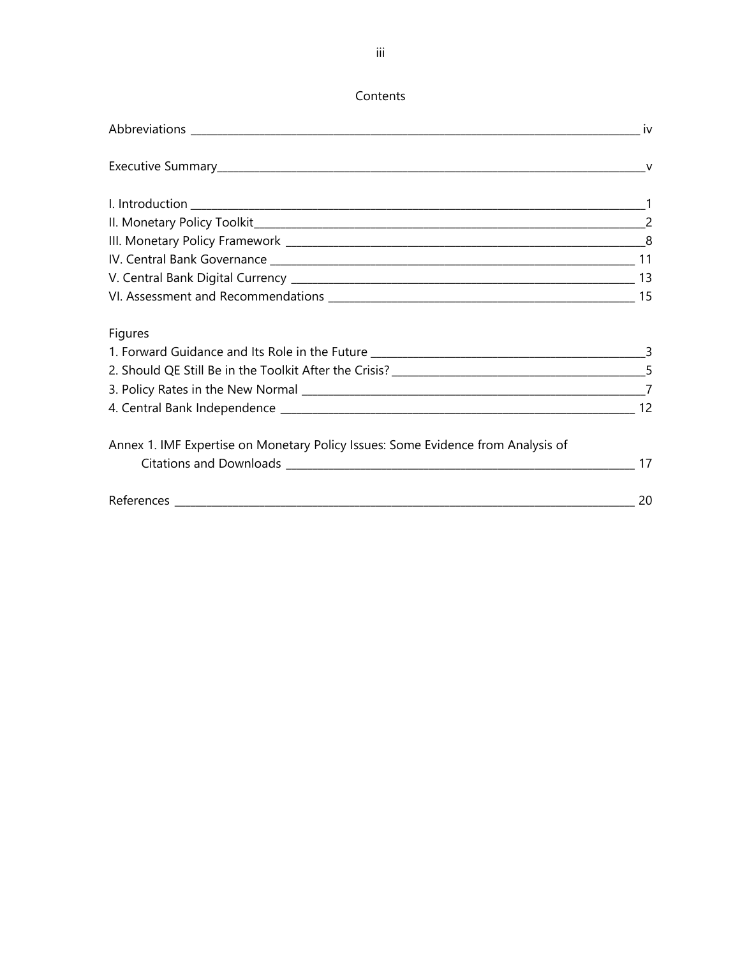## Contents

| <b>Figures</b>                                                                   |  |
|----------------------------------------------------------------------------------|--|
|                                                                                  |  |
|                                                                                  |  |
|                                                                                  |  |
|                                                                                  |  |
| Annex 1. IMF Expertise on Monetary Policy Issues: Some Evidence from Analysis of |  |
|                                                                                  |  |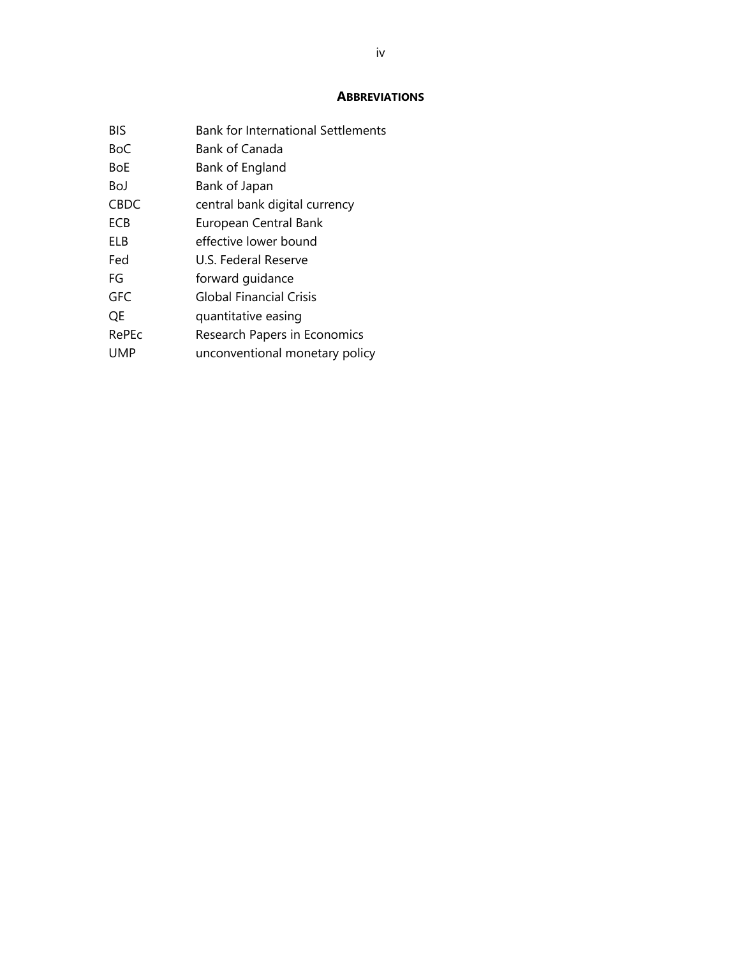#### **ABBREVIATIONS**

| BIS   | <b>Bank for International Settlements</b> |
|-------|-------------------------------------------|
| BoC   | Bank of Canada                            |
| BoE   | Bank of England                           |
| BoJ   | Bank of Japan                             |
| CBDC  | central bank digital currency             |
| ECB   | European Central Bank                     |
| FLB   | effective lower bound                     |
| Fed   | U.S. Federal Reserve                      |
| FG    | forward guidance                          |
| GFC   | <b>Global Financial Crisis</b>            |
| OE    | quantitative easing                       |
| RePEc | Research Papers in Economics              |
| UMP   | unconventional monetary policy            |
|       |                                           |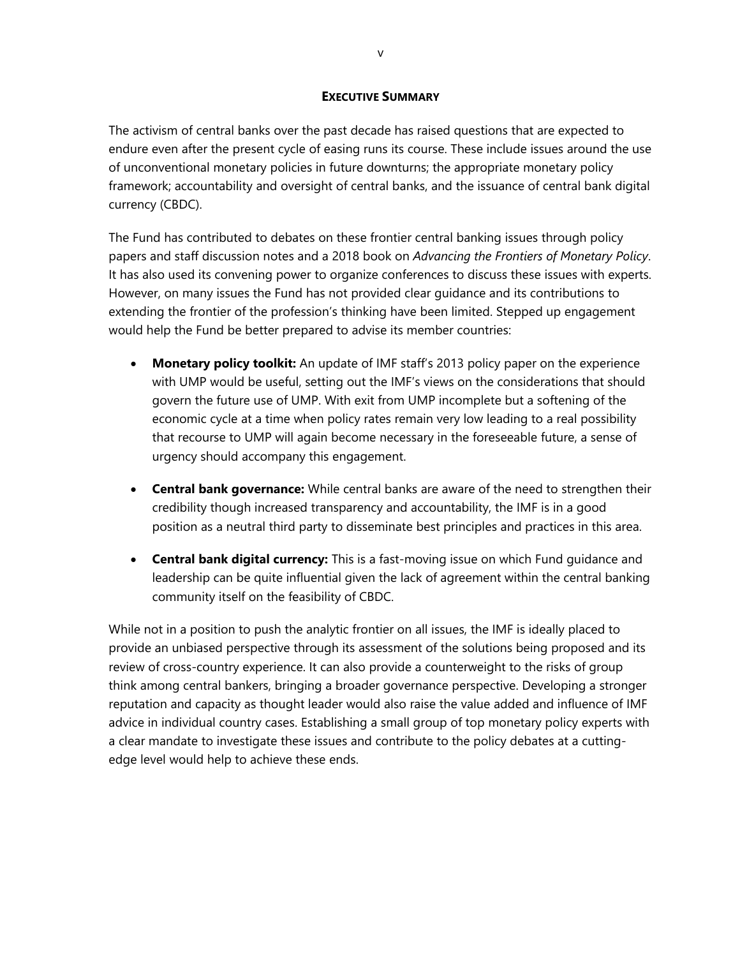#### **EXECUTIVE SUMMARY**

The activism of central banks over the past decade has raised questions that are expected to endure even after the present cycle of easing runs its course. These include issues around the use of unconventional monetary policies in future downturns; the appropriate monetary policy framework; accountability and oversight of central banks, and the issuance of central bank digital currency (CBDC).

The Fund has contributed to debates on these frontier central banking issues through policy papers and staff discussion notes and a 2018 book on *Advancing the Frontiers of Monetary Policy*. It has also used its convening power to organize conferences to discuss these issues with experts. However, on many issues the Fund has not provided clear guidance and its contributions to extending the frontier of the profession's thinking have been limited. Stepped up engagement would help the Fund be better prepared to advise its member countries:

- **Monetary policy toolkit:** An update of IMF staff's 2013 policy paper on the experience with UMP would be useful, setting out the IMF's views on the considerations that should govern the future use of UMP. With exit from UMP incomplete but a softening of the economic cycle at a time when policy rates remain very low leading to a real possibility that recourse to UMP will again become necessary in the foreseeable future, a sense of urgency should accompany this engagement.
- **Central bank governance:** While central banks are aware of the need to strengthen their credibility though increased transparency and accountability, the IMF is in a good position as a neutral third party to disseminate best principles and practices in this area.
- **Central bank digital currency:** This is a fast-moving issue on which Fund guidance and leadership can be quite influential given the lack of agreement within the central banking community itself on the feasibility of CBDC.

While not in a position to push the analytic frontier on all issues, the IMF is ideally placed to provide an unbiased perspective through its assessment of the solutions being proposed and its review of cross-country experience. It can also provide a counterweight to the risks of group think among central bankers, bringing a broader governance perspective. Developing a stronger reputation and capacity as thought leader would also raise the value added and influence of IMF advice in individual country cases. Establishing a small group of top monetary policy experts with a clear mandate to investigate these issues and contribute to the policy debates at a cuttingedge level would help to achieve these ends.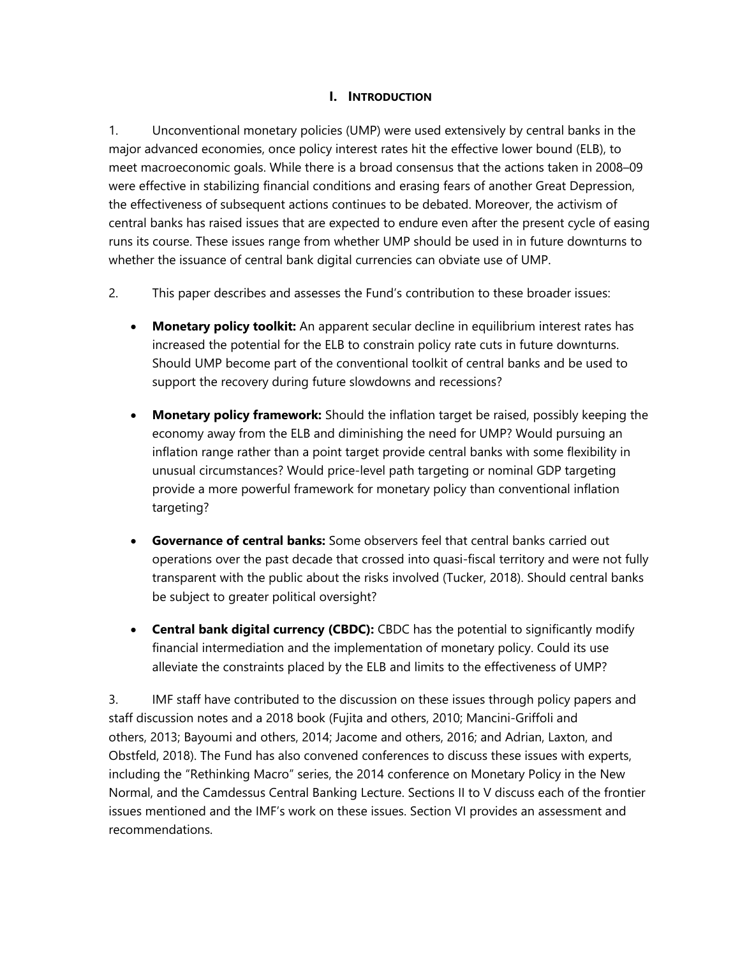### **I. INTRODUCTION**

1. Unconventional monetary policies (UMP) were used extensively by central banks in the major advanced economies, once policy interest rates hit the effective lower bound (ELB), to meet macroeconomic goals. While there is a broad consensus that the actions taken in 2008–09 were effective in stabilizing financial conditions and erasing fears of another Great Depression, the effectiveness of subsequent actions continues to be debated. Moreover, the activism of central banks has raised issues that are expected to endure even after the present cycle of easing runs its course. These issues range from whether UMP should be used in in future downturns to whether the issuance of central bank digital currencies can obviate use of UMP.

- 2. This paper describes and assesses the Fund's contribution to these broader issues:
	- **Monetary policy toolkit:** An apparent secular decline in equilibrium interest rates has increased the potential for the ELB to constrain policy rate cuts in future downturns. Should UMP become part of the conventional toolkit of central banks and be used to support the recovery during future slowdowns and recessions?
	- **Monetary policy framework:** Should the inflation target be raised, possibly keeping the economy away from the ELB and diminishing the need for UMP? Would pursuing an inflation range rather than a point target provide central banks with some flexibility in unusual circumstances? Would price-level path targeting or nominal GDP targeting provide a more powerful framework for monetary policy than conventional inflation targeting?
	- **Governance of central banks:** Some observers feel that central banks carried out operations over the past decade that crossed into quasi-fiscal territory and were not fully transparent with the public about the risks involved (Tucker, 2018). Should central banks be subject to greater political oversight?
	- **Central bank digital currency (CBDC):** CBDC has the potential to significantly modify financial intermediation and the implementation of monetary policy. Could its use alleviate the constraints placed by the ELB and limits to the effectiveness of UMP?

3. IMF staff have contributed to the discussion on these issues through policy papers and staff discussion notes and a 2018 book (Fujita and others, 2010; Mancini-Griffoli and others, 2013; Bayoumi and others, 2014; Jacome and others, 2016; and Adrian, Laxton, and Obstfeld, 2018). The Fund has also convened conferences to discuss these issues with experts, including the "Rethinking Macro" series, the 2014 conference on Monetary Policy in the New Normal, and the Camdessus Central Banking Lecture. Sections II to V discuss each of the frontier issues mentioned and the IMF's work on these issues. Section VI provides an assessment and recommendations.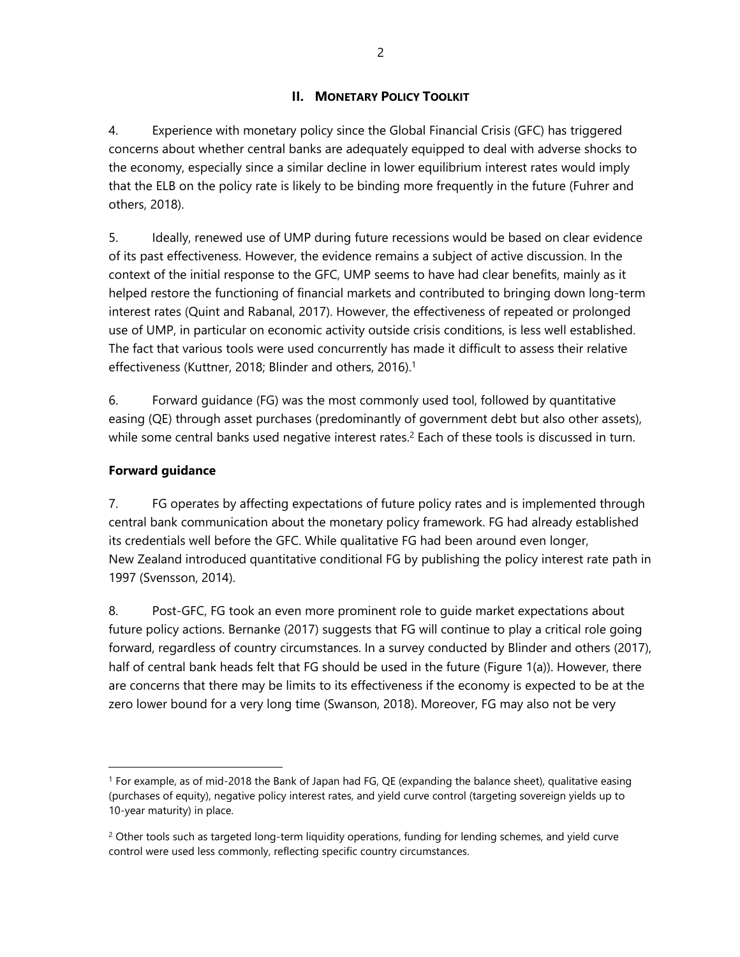## **II. MONETARY POLICY TOOLKIT**

4. Experience with monetary policy since the Global Financial Crisis (GFC) has triggered concerns about whether central banks are adequately equipped to deal with adverse shocks to the economy, especially since a similar decline in lower equilibrium interest rates would imply that the ELB on the policy rate is likely to be binding more frequently in the future (Fuhrer and others, 2018).

5. Ideally, renewed use of UMP during future recessions would be based on clear evidence of its past effectiveness. However, the evidence remains a subject of active discussion. In the context of the initial response to the GFC, UMP seems to have had clear benefits, mainly as it helped restore the functioning of financial markets and contributed to bringing down long-term interest rates (Quint and Rabanal, 2017). However, the effectiveness of repeated or prolonged use of UMP, in particular on economic activity outside crisis conditions, is less well established. The fact that various tools were used concurrently has made it difficult to assess their relative effectiveness (Kuttner, 2018; Blinder and others, 2016).<sup>1</sup>

6. Forward guidance (FG) was the most commonly used tool, followed by quantitative easing (QE) through asset purchases (predominantly of government debt but also other assets), while some central banks used negative interest rates.<sup>2</sup> Each of these tools is discussed in turn.

#### **Forward guidance**

 $\overline{a}$ 

7. FG operates by affecting expectations of future policy rates and is implemented through central bank communication about the monetary policy framework. FG had already established its credentials well before the GFC. While qualitative FG had been around even longer, New Zealand introduced quantitative conditional FG by publishing the policy interest rate path in 1997 (Svensson, 2014).

8. Post-GFC, FG took an even more prominent role to guide market expectations about future policy actions. Bernanke (2017) suggests that FG will continue to play a critical role going forward, regardless of country circumstances. In a survey conducted by Blinder and others (2017), half of central bank heads felt that FG should be used in the future (Figure 1(a)). However, there are concerns that there may be limits to its effectiveness if the economy is expected to be at the zero lower bound for a very long time (Swanson, 2018). Moreover, FG may also not be very

<sup>1</sup> For example, as of mid-2018 the Bank of Japan had FG, QE (expanding the balance sheet), qualitative easing (purchases of equity), negative policy interest rates, and yield curve control (targeting sovereign yields up to 10-year maturity) in place.

 $2$  Other tools such as targeted long-term liquidity operations, funding for lending schemes, and yield curve control were used less commonly, reflecting specific country circumstances.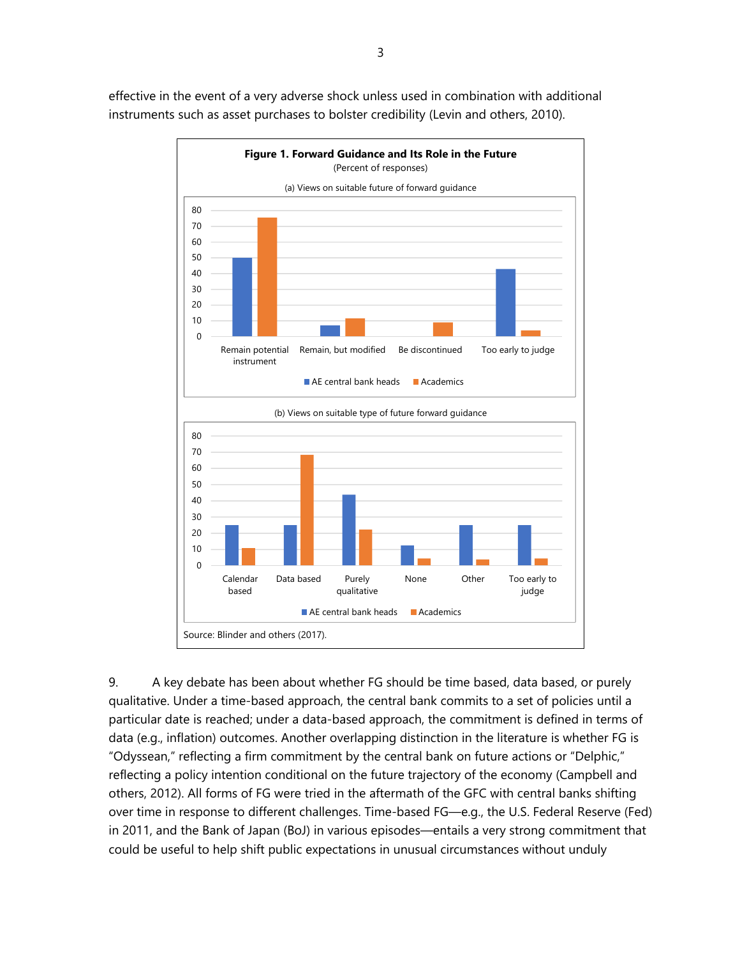**Figure 1. Forward Guidance and Its Role in the Future**  (Percent of responses) (a) Views on suitable future of forward guidance (b) Views on suitable type of future forward guidance Source: Blinder and others (2017). 0 10 20 30 40 50 60 70 80 Remain potential instrument Remain, but modified Be discontinued Too early to judge  $\blacksquare$  AE central bank heads  $\blacksquare$  Academics  $\theta$ 10 20 30 40 50 60 70 80 Calendar based Data based Purely qualitative None Other Too early to judge  $\blacksquare$  AE central bank heads  $\blacksquare$  Academics

effective in the event of a very adverse shock unless used in combination with additional instruments such as asset purchases to bolster credibility (Levin and others, 2010).

9. A key debate has been about whether FG should be time based, data based, or purely qualitative. Under a time-based approach, the central bank commits to a set of policies until a particular date is reached; under a data-based approach, the commitment is defined in terms of data (e.g., inflation) outcomes. Another overlapping distinction in the literature is whether FG is "Odyssean," reflecting a firm commitment by the central bank on future actions or "Delphic," reflecting a policy intention conditional on the future trajectory of the economy (Campbell and others, 2012). All forms of FG were tried in the aftermath of the GFC with central banks shifting over time in response to different challenges. Time-based FG—e.g., the U.S. Federal Reserve (Fed) in 2011, and the Bank of Japan (BoJ) in various episodes—entails a very strong commitment that could be useful to help shift public expectations in unusual circumstances without unduly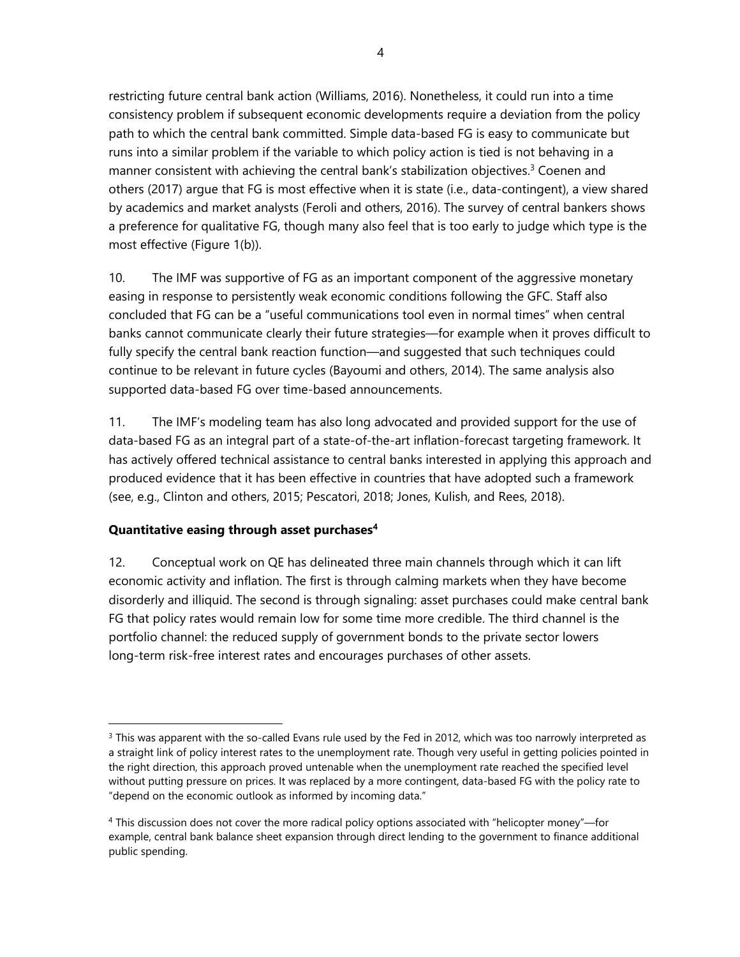restricting future central bank action (Williams, 2016). Nonetheless, it could run into a time consistency problem if subsequent economic developments require a deviation from the policy path to which the central bank committed. Simple data-based FG is easy to communicate but runs into a similar problem if the variable to which policy action is tied is not behaving in a manner consistent with achieving the central bank's stabilization objectives.<sup>3</sup> Coenen and others (2017) argue that FG is most effective when it is state (i.e., data-contingent), a view shared by academics and market analysts (Feroli and others, 2016). The survey of central bankers shows a preference for qualitative FG, though many also feel that is too early to judge which type is the most effective (Figure 1(b)).

10. The IMF was supportive of FG as an important component of the aggressive monetary easing in response to persistently weak economic conditions following the GFC. Staff also concluded that FG can be a "useful communications tool even in normal times" when central banks cannot communicate clearly their future strategies—for example when it proves difficult to fully specify the central bank reaction function—and suggested that such techniques could continue to be relevant in future cycles (Bayoumi and others, 2014). The same analysis also supported data-based FG over time-based announcements.

11. The IMF's modeling team has also long advocated and provided support for the use of data-based FG as an integral part of a state-of-the-art inflation-forecast targeting framework. It has actively offered technical assistance to central banks interested in applying this approach and produced evidence that it has been effective in countries that have adopted such a framework (see, e.g., Clinton and others, 2015; Pescatori, 2018; Jones, Kulish, and Rees, 2018).

#### **Quantitative easing through asset purchases4**

 $\overline{a}$ 

12. Conceptual work on QE has delineated three main channels through which it can lift economic activity and inflation. The first is through calming markets when they have become disorderly and illiquid. The second is through signaling: asset purchases could make central bank FG that policy rates would remain low for some time more credible. The third channel is the portfolio channel: the reduced supply of government bonds to the private sector lowers long-term risk-free interest rates and encourages purchases of other assets.

 $3$  This was apparent with the so-called Evans rule used by the Fed in 2012, which was too narrowly interpreted as a straight link of policy interest rates to the unemployment rate. Though very useful in getting policies pointed in the right direction, this approach proved untenable when the unemployment rate reached the specified level without putting pressure on prices. It was replaced by a more contingent, data-based FG with the policy rate to "depend on the economic outlook as informed by incoming data."

<sup>4</sup> This discussion does not cover the more radical policy options associated with "helicopter money"—for example, central bank balance sheet expansion through direct lending to the government to finance additional public spending.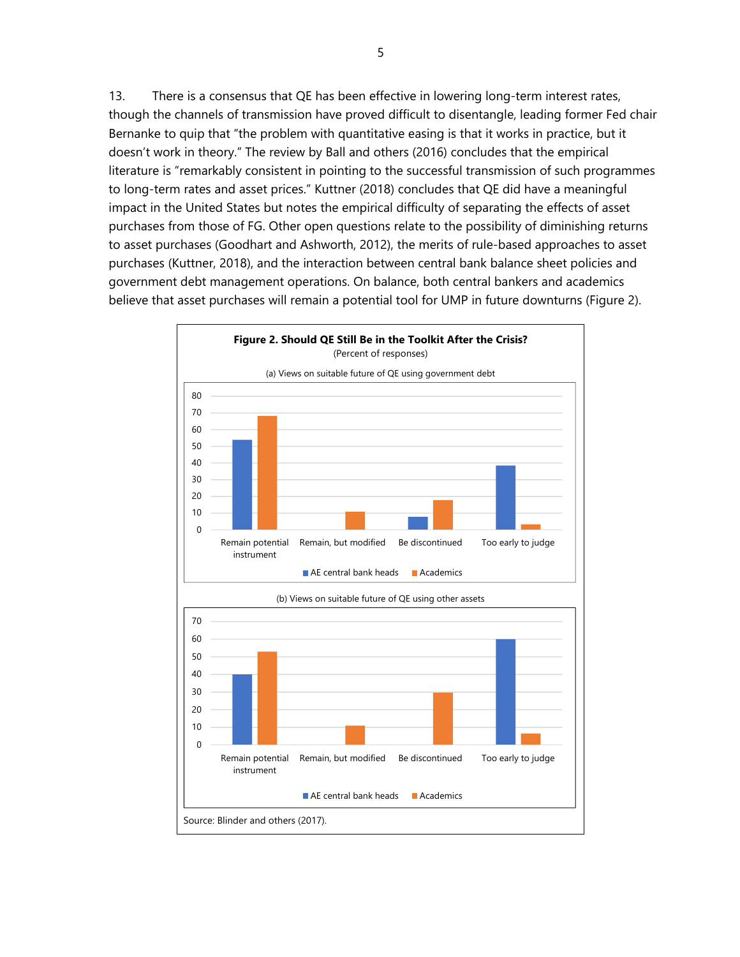13. There is a consensus that QE has been effective in lowering long-term interest rates, though the channels of transmission have proved difficult to disentangle, leading former Fed chair Bernanke to quip that "the problem with quantitative easing is that it works in practice, but it doesn't work in theory." The review by Ball and others (2016) concludes that the empirical literature is "remarkably consistent in pointing to the successful transmission of such programmes to long-term rates and asset prices." Kuttner (2018) concludes that QE did have a meaningful impact in the United States but notes the empirical difficulty of separating the effects of asset purchases from those of FG. Other open questions relate to the possibility of diminishing returns to asset purchases (Goodhart and Ashworth, 2012), the merits of rule-based approaches to asset purchases (Kuttner, 2018), and the interaction between central bank balance sheet policies and government debt management operations. On balance, both central bankers and academics believe that asset purchases will remain a potential tool for UMP in future downturns (Figure 2).

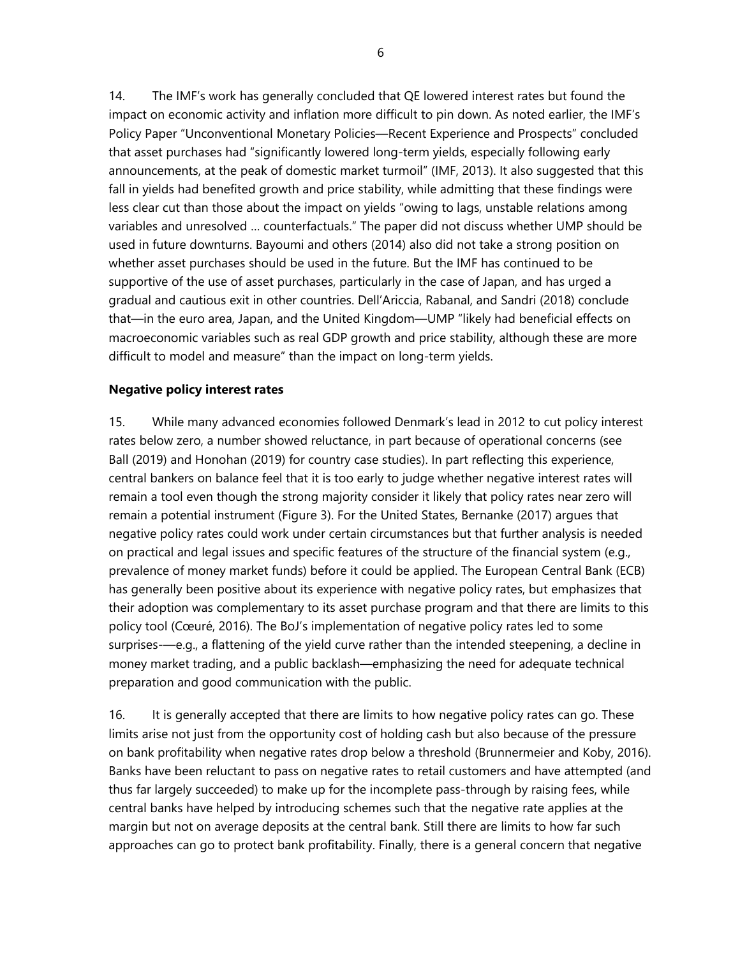14. The IMF's work has generally concluded that QE lowered interest rates but found the impact on economic activity and inflation more difficult to pin down. As noted earlier, the IMF's Policy Paper "Unconventional Monetary Policies—Recent Experience and Prospects" concluded that asset purchases had "significantly lowered long-term yields, especially following early announcements, at the peak of domestic market turmoil" (IMF, 2013). It also suggested that this fall in yields had benefited growth and price stability, while admitting that these findings were less clear cut than those about the impact on yields "owing to lags, unstable relations among variables and unresolved … counterfactuals." The paper did not discuss whether UMP should be used in future downturns. Bayoumi and others (2014) also did not take a strong position on whether asset purchases should be used in the future. But the IMF has continued to be supportive of the use of asset purchases, particularly in the case of Japan, and has urged a gradual and cautious exit in other countries. Dell'Ariccia, Rabanal, and Sandri (2018) conclude that—in the euro area, Japan, and the United Kingdom—UMP "likely had beneficial effects on macroeconomic variables such as real GDP growth and price stability, although these are more difficult to model and measure" than the impact on long-term yields.

#### **Negative policy interest rates**

15. While many advanced economies followed Denmark's lead in 2012 to cut policy interest rates below zero, a number showed reluctance, in part because of operational concerns (see Ball (2019) and Honohan (2019) for country case studies). In part reflecting this experience, central bankers on balance feel that it is too early to judge whether negative interest rates will remain a tool even though the strong majority consider it likely that policy rates near zero will remain a potential instrument (Figure 3). For the United States, Bernanke (2017) argues that negative policy rates could work under certain circumstances but that further analysis is needed on practical and legal issues and specific features of the structure of the financial system (e.g., prevalence of money market funds) before it could be applied. The European Central Bank (ECB) has generally been positive about its experience with negative policy rates, but emphasizes that their adoption was complementary to its asset purchase program and that there are limits to this policy tool (Cœuré, 2016). The BoJ's implementation of negative policy rates led to some surprises-—e.g., a flattening of the yield curve rather than the intended steepening, a decline in money market trading, and a public backlash—emphasizing the need for adequate technical preparation and good communication with the public.

16. It is generally accepted that there are limits to how negative policy rates can go. These limits arise not just from the opportunity cost of holding cash but also because of the pressure on bank profitability when negative rates drop below a threshold (Brunnermeier and Koby, 2016). Banks have been reluctant to pass on negative rates to retail customers and have attempted (and thus far largely succeeded) to make up for the incomplete pass-through by raising fees, while central banks have helped by introducing schemes such that the negative rate applies at the margin but not on average deposits at the central bank. Still there are limits to how far such approaches can go to protect bank profitability. Finally, there is a general concern that negative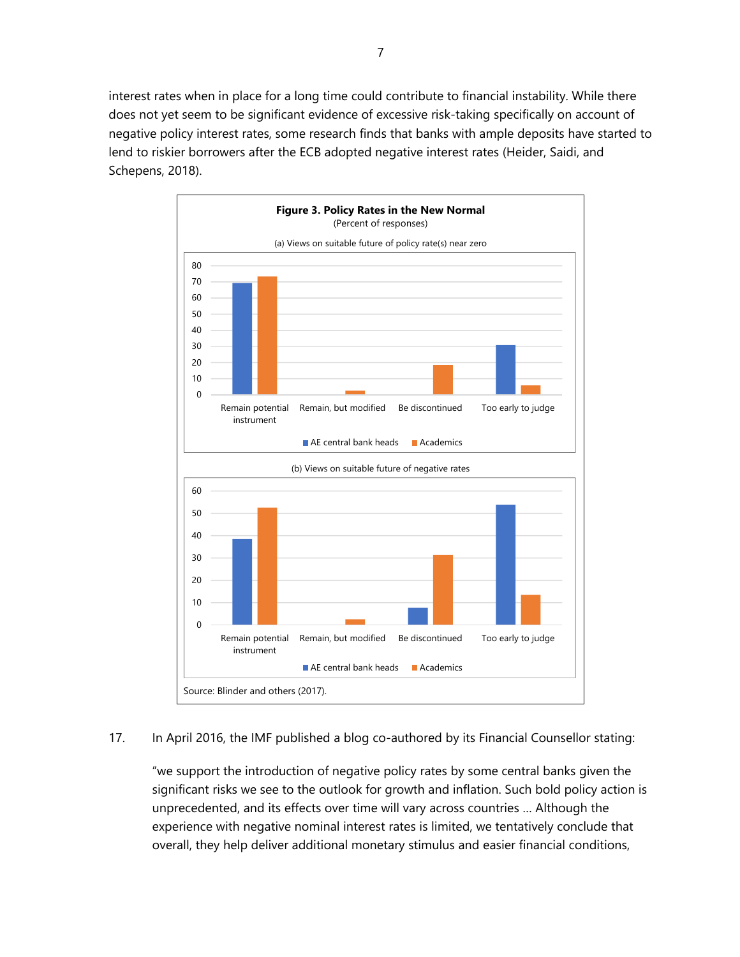interest rates when in place for a long time could contribute to financial instability. While there does not yet seem to be significant evidence of excessive risk-taking specifically on account of negative policy interest rates, some research finds that banks with ample deposits have started to lend to riskier borrowers after the ECB adopted negative interest rates (Heider, Saidi, and Schepens, 2018).



#### 17. In April 2016, the IMF published a blog co-authored by its Financial Counsellor stating:

"we support the introduction of negative policy rates by some central banks given the significant risks we see to the outlook for growth and inflation. Such bold policy action is unprecedented, and its effects over time will vary across countries … Although the experience with negative nominal interest rates is limited, we tentatively conclude that overall, they help deliver additional monetary stimulus and easier financial conditions,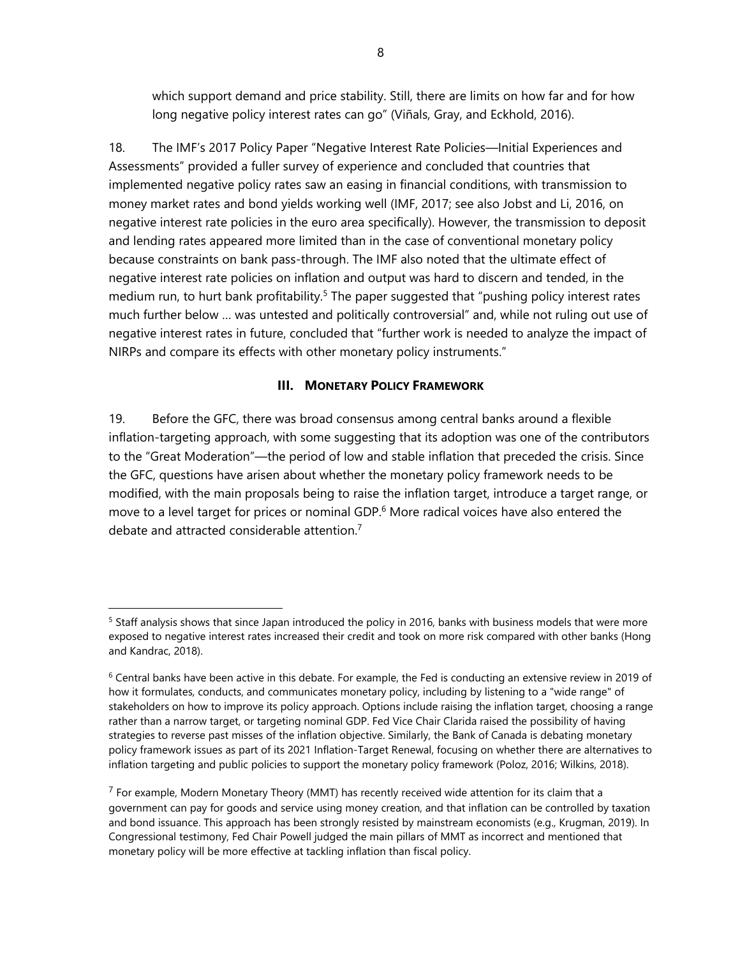which support demand and price stability. Still, there are limits on how far and for how long negative policy interest rates can go" (Viñals, Gray, and Eckhold, 2016).

18. The IMF's 2017 Policy Paper "Negative Interest Rate Policies—Initial Experiences and Assessments" provided a fuller survey of experience and concluded that countries that implemented negative policy rates saw an easing in financial conditions, with transmission to money market rates and bond yields working well (IMF, 2017; see also Jobst and Li, 2016, on negative interest rate policies in the euro area specifically). However, the transmission to deposit and lending rates appeared more limited than in the case of conventional monetary policy because constraints on bank pass-through. The IMF also noted that the ultimate effect of negative interest rate policies on inflation and output was hard to discern and tended, in the medium run, to hurt bank profitability.<sup>5</sup> The paper suggested that "pushing policy interest rates much further below … was untested and politically controversial" and, while not ruling out use of negative interest rates in future, concluded that "further work is needed to analyze the impact of NIRPs and compare its effects with other monetary policy instruments."

#### **III. MONETARY POLICY FRAMEWORK**

19. Before the GFC, there was broad consensus among central banks around a flexible inflation-targeting approach, with some suggesting that its adoption was one of the contributors to the "Great Moderation"—the period of low and stable inflation that preceded the crisis. Since the GFC, questions have arisen about whether the monetary policy framework needs to be modified, with the main proposals being to raise the inflation target, introduce a target range, or move to a level target for prices or nominal GDP.<sup>6</sup> More radical voices have also entered the debate and attracted considerable attention.7

 $\overline{a}$ 

<sup>&</sup>lt;sup>5</sup> Staff analysis shows that since Japan introduced the policy in 2016, banks with business models that were more exposed to negative interest rates increased their credit and took on more risk compared with other banks (Hong and Kandrac, 2018).

 $6$  Central banks have been active in this debate. For example, the Fed is conducting an extensive review in 2019 of how it formulates, conducts, and communicates monetary policy, including by listening to a "wide range" of stakeholders on how to improve its policy approach. Options include raising the inflation target, choosing a range rather than a narrow target, or targeting nominal GDP. Fed Vice Chair Clarida raised the possibility of having strategies to reverse past misses of the inflation objective. Similarly, the Bank of Canada is debating monetary policy framework issues as part of its 2021 Inflation-Target Renewal, focusing on whether there are alternatives to inflation targeting and public policies to support the monetary policy framework (Poloz, 2016; Wilkins, 2018).

 $<sup>7</sup>$  For example, Modern Monetary Theory (MMT) has recently received wide attention for its claim that a</sup> government can pay for goods and service using money creation, and that inflation can be controlled by taxation and bond issuance. This approach has been strongly resisted by mainstream economists (e.g., Krugman, 2019). In Congressional testimony, Fed Chair Powell judged the main pillars of MMT as incorrect and mentioned that monetary policy will be more effective at tackling inflation than fiscal policy.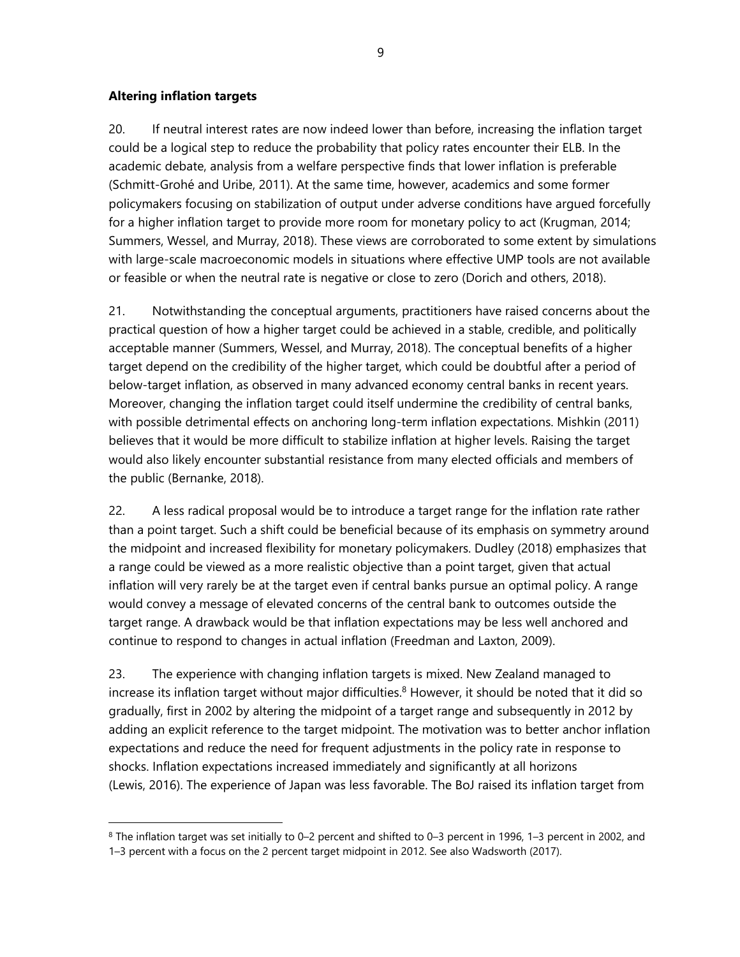#### **Altering inflation targets**

 $\overline{a}$ 

20. If neutral interest rates are now indeed lower than before, increasing the inflation target could be a logical step to reduce the probability that policy rates encounter their ELB. In the academic debate, analysis from a welfare perspective finds that lower inflation is preferable (Schmitt-Grohé and Uribe, 2011). At the same time, however, academics and some former policymakers focusing on stabilization of output under adverse conditions have argued forcefully for a higher inflation target to provide more room for monetary policy to act (Krugman, 2014; Summers, Wessel, and Murray, 2018). These views are corroborated to some extent by simulations with large-scale macroeconomic models in situations where effective UMP tools are not available or feasible or when the neutral rate is negative or close to zero (Dorich and others, 2018).

21. Notwithstanding the conceptual arguments, practitioners have raised concerns about the practical question of how a higher target could be achieved in a stable, credible, and politically acceptable manner (Summers, Wessel, and Murray, 2018). The conceptual benefits of a higher target depend on the credibility of the higher target, which could be doubtful after a period of below-target inflation, as observed in many advanced economy central banks in recent years. Moreover, changing the inflation target could itself undermine the credibility of central banks, with possible detrimental effects on anchoring long-term inflation expectations. Mishkin (2011) believes that it would be more difficult to stabilize inflation at higher levels. Raising the target would also likely encounter substantial resistance from many elected officials and members of the public (Bernanke, 2018).

22. A less radical proposal would be to introduce a target range for the inflation rate rather than a point target. Such a shift could be beneficial because of its emphasis on symmetry around the midpoint and increased flexibility for monetary policymakers. Dudley (2018) emphasizes that a range could be viewed as a more realistic objective than a point target, given that actual inflation will very rarely be at the target even if central banks pursue an optimal policy. A range would convey a message of elevated concerns of the central bank to outcomes outside the target range. A drawback would be that inflation expectations may be less well anchored and continue to respond to changes in actual inflation (Freedman and Laxton, 2009).

23. The experience with changing inflation targets is mixed. New Zealand managed to increase its inflation target without major difficulties.<sup>8</sup> However, it should be noted that it did so gradually, first in 2002 by altering the midpoint of a target range and subsequently in 2012 by adding an explicit reference to the target midpoint. The motivation was to better anchor inflation expectations and reduce the need for frequent adjustments in the policy rate in response to shocks. Inflation expectations increased immediately and significantly at all horizons (Lewis, 2016). The experience of Japan was less favorable. The BoJ raised its inflation target from

<sup>8</sup> The inflation target was set initially to 0–2 percent and shifted to 0–3 percent in 1996, 1–3 percent in 2002, and 1–3 percent with a focus on the 2 percent target midpoint in 2012. See also Wadsworth (2017).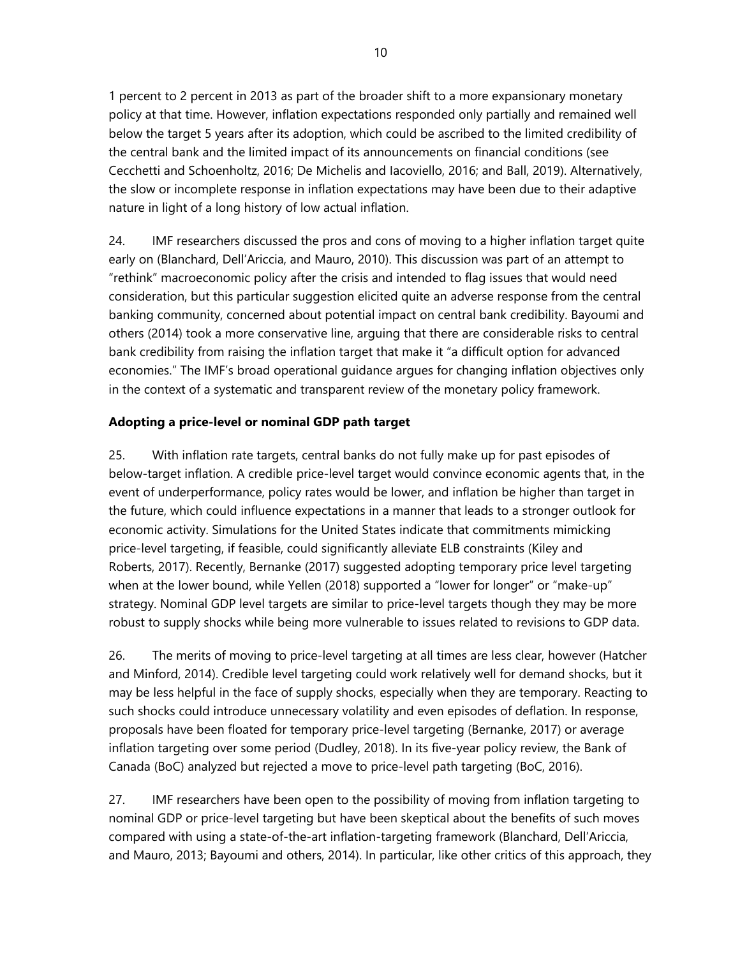1 percent to 2 percent in 2013 as part of the broader shift to a more expansionary monetary policy at that time. However, inflation expectations responded only partially and remained well below the target 5 years after its adoption, which could be ascribed to the limited credibility of the central bank and the limited impact of its announcements on financial conditions (see Cecchetti and Schoenholtz, 2016; De Michelis and Iacoviello, 2016; and Ball, 2019). Alternatively, the slow or incomplete response in inflation expectations may have been due to their adaptive nature in light of a long history of low actual inflation.

24. IMF researchers discussed the pros and cons of moving to a higher inflation target quite early on (Blanchard, Dell'Ariccia, and Mauro, 2010). This discussion was part of an attempt to "rethink" macroeconomic policy after the crisis and intended to flag issues that would need consideration, but this particular suggestion elicited quite an adverse response from the central banking community, concerned about potential impact on central bank credibility. Bayoumi and others (2014) took a more conservative line, arguing that there are considerable risks to central bank credibility from raising the inflation target that make it "a difficult option for advanced economies." The IMF's broad operational guidance argues for changing inflation objectives only in the context of a systematic and transparent review of the monetary policy framework.

## **Adopting a price-level or nominal GDP path target**

25. With inflation rate targets, central banks do not fully make up for past episodes of below-target inflation. A credible price-level target would convince economic agents that, in the event of underperformance, policy rates would be lower, and inflation be higher than target in the future, which could influence expectations in a manner that leads to a stronger outlook for economic activity. Simulations for the United States indicate that commitments mimicking price-level targeting, if feasible, could significantly alleviate ELB constraints (Kiley and Roberts, 2017). Recently, Bernanke (2017) suggested adopting temporary price level targeting when at the lower bound, while Yellen (2018) supported a "lower for longer" or "make-up" strategy. Nominal GDP level targets are similar to price-level targets though they may be more robust to supply shocks while being more vulnerable to issues related to revisions to GDP data.

26. The merits of moving to price-level targeting at all times are less clear, however (Hatcher and Minford, 2014). Credible level targeting could work relatively well for demand shocks, but it may be less helpful in the face of supply shocks, especially when they are temporary. Reacting to such shocks could introduce unnecessary volatility and even episodes of deflation. In response, proposals have been floated for temporary price-level targeting (Bernanke, 2017) or average inflation targeting over some period (Dudley, 2018). In its five-year policy review, the Bank of Canada (BoC) analyzed but rejected a move to price-level path targeting (BoC, 2016).

27. IMF researchers have been open to the possibility of moving from inflation targeting to nominal GDP or price-level targeting but have been skeptical about the benefits of such moves compared with using a state-of-the-art inflation-targeting framework (Blanchard, Dell'Ariccia, and Mauro, 2013; Bayoumi and others, 2014). In particular, like other critics of this approach, they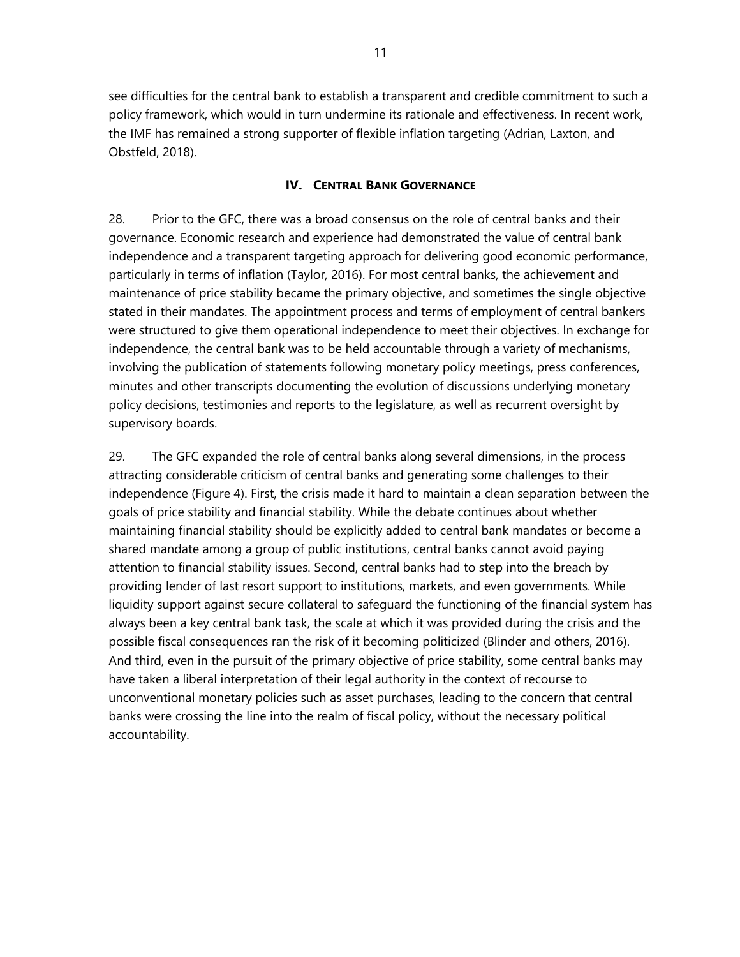see difficulties for the central bank to establish a transparent and credible commitment to such a policy framework, which would in turn undermine its rationale and effectiveness. In recent work, the IMF has remained a strong supporter of flexible inflation targeting (Adrian, Laxton, and Obstfeld, 2018).

#### **IV. CENTRAL BANK GOVERNANCE**

28. Prior to the GFC, there was a broad consensus on the role of central banks and their governance. Economic research and experience had demonstrated the value of central bank independence and a transparent targeting approach for delivering good economic performance, particularly in terms of inflation (Taylor, 2016). For most central banks, the achievement and maintenance of price stability became the primary objective, and sometimes the single objective stated in their mandates. The appointment process and terms of employment of central bankers were structured to give them operational independence to meet their objectives. In exchange for independence, the central bank was to be held accountable through a variety of mechanisms, involving the publication of statements following monetary policy meetings, press conferences, minutes and other transcripts documenting the evolution of discussions underlying monetary policy decisions, testimonies and reports to the legislature, as well as recurrent oversight by supervisory boards.

29. The GFC expanded the role of central banks along several dimensions, in the process attracting considerable criticism of central banks and generating some challenges to their independence (Figure 4). First, the crisis made it hard to maintain a clean separation between the goals of price stability and financial stability. While the debate continues about whether maintaining financial stability should be explicitly added to central bank mandates or become a shared mandate among a group of public institutions, central banks cannot avoid paying attention to financial stability issues. Second, central banks had to step into the breach by providing lender of last resort support to institutions, markets, and even governments. While liquidity support against secure collateral to safeguard the functioning of the financial system has always been a key central bank task, the scale at which it was provided during the crisis and the possible fiscal consequences ran the risk of it becoming politicized (Blinder and others, 2016). And third, even in the pursuit of the primary objective of price stability, some central banks may have taken a liberal interpretation of their legal authority in the context of recourse to unconventional monetary policies such as asset purchases, leading to the concern that central banks were crossing the line into the realm of fiscal policy, without the necessary political accountability.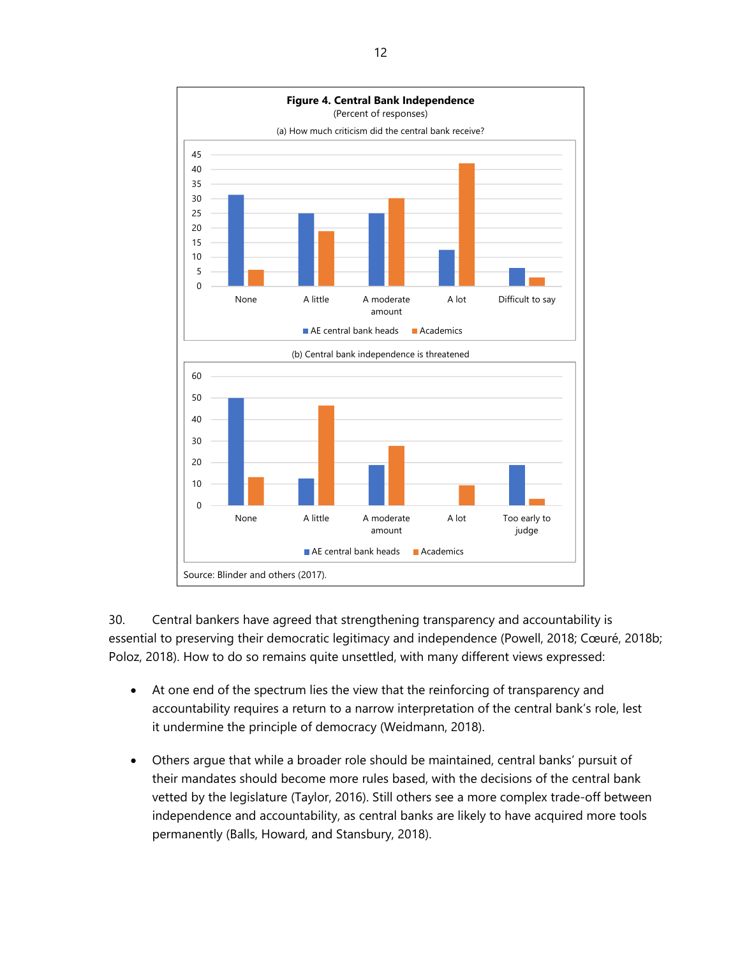

30. Central bankers have agreed that strengthening transparency and accountability is essential to preserving their democratic legitimacy and independence (Powell, 2018; Cœuré, 2018b; Poloz, 2018). How to do so remains quite unsettled, with many different views expressed:

- At one end of the spectrum lies the view that the reinforcing of transparency and accountability requires a return to a narrow interpretation of the central bank's role, lest it undermine the principle of democracy (Weidmann, 2018).
- Others argue that while a broader role should be maintained, central banks' pursuit of their mandates should become more rules based, with the decisions of the central bank vetted by the legislature (Taylor, 2016). Still others see a more complex trade-off between independence and accountability, as central banks are likely to have acquired more tools permanently (Balls, Howard, and Stansbury, 2018).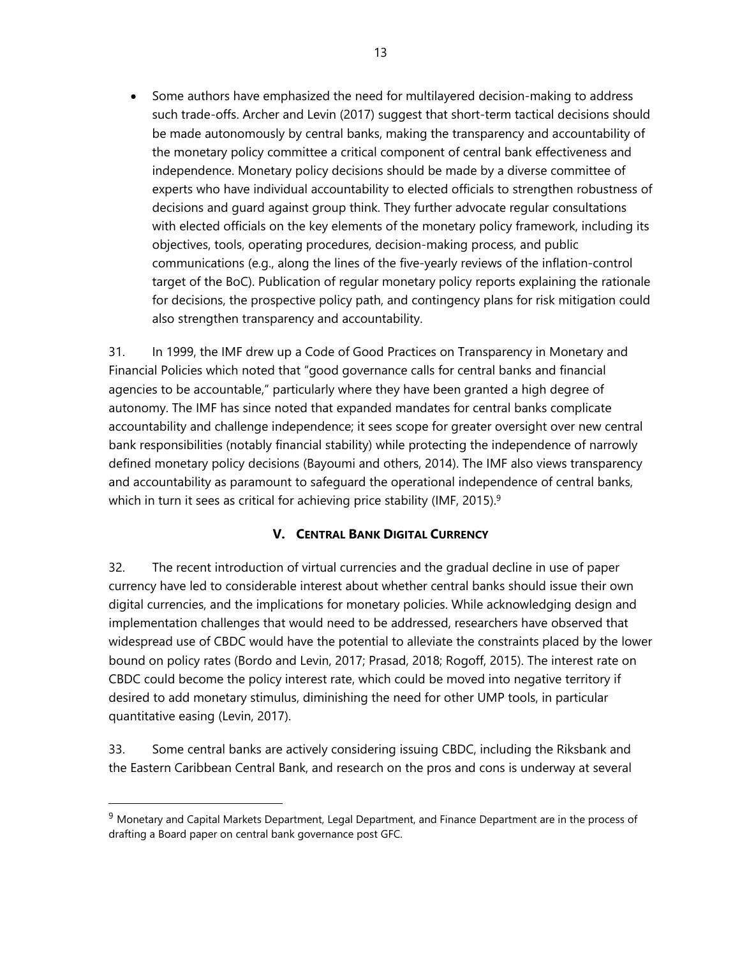Some authors have emphasized the need for multilayered decision-making to address such trade-offs. Archer and Levin (2017) suggest that short-term tactical decisions should be made autonomously by central banks, making the transparency and accountability of the monetary policy committee a critical component of central bank effectiveness and independence. Monetary policy decisions should be made by a diverse committee of experts who have individual accountability to elected officials to strengthen robustness of decisions and guard against group think. They further advocate regular consultations with elected officials on the key elements of the monetary policy framework, including its objectives, tools, operating procedures, decision-making process, and public communications (e.g., along the lines of the five-yearly reviews of the inflation-control target of the BoC). Publication of regular monetary policy reports explaining the rationale for decisions, the prospective policy path, and contingency plans for risk mitigation could also strengthen transparency and accountability.

31. In 1999, the IMF drew up a Code of Good Practices on Transparency in Monetary and Financial Policies which noted that "good governance calls for central banks and financial agencies to be accountable," particularly where they have been granted a high degree of autonomy. The IMF has since noted that expanded mandates for central banks complicate accountability and challenge independence; it sees scope for greater oversight over new central bank responsibilities (notably financial stability) while protecting the independence of narrowly defined monetary policy decisions (Bayoumi and others, 2014). The IMF also views transparency and accountability as paramount to safeguard the operational independence of central banks, which in turn it sees as critical for achieving price stability (IMF, 2015).<sup>9</sup>

## **V. CENTRAL BANK DIGITAL CURRENCY**

32. The recent introduction of virtual currencies and the gradual decline in use of paper currency have led to considerable interest about whether central banks should issue their own digital currencies, and the implications for monetary policies. While acknowledging design and implementation challenges that would need to be addressed, researchers have observed that widespread use of CBDC would have the potential to alleviate the constraints placed by the lower bound on policy rates (Bordo and Levin, 2017; Prasad, 2018; Rogoff, 2015). The interest rate on CBDC could become the policy interest rate, which could be moved into negative territory if desired to add monetary stimulus, diminishing the need for other UMP tools, in particular quantitative easing (Levin, 2017).

33. Some central banks are actively considering issuing CBDC, including the Riksbank and the Eastern Caribbean Central Bank, and research on the pros and cons is underway at several

 $\overline{a}$ 

<sup>&</sup>lt;sup>9</sup> Monetary and Capital Markets Department, Legal Department, and Finance Department are in the process of drafting a Board paper on central bank governance post GFC.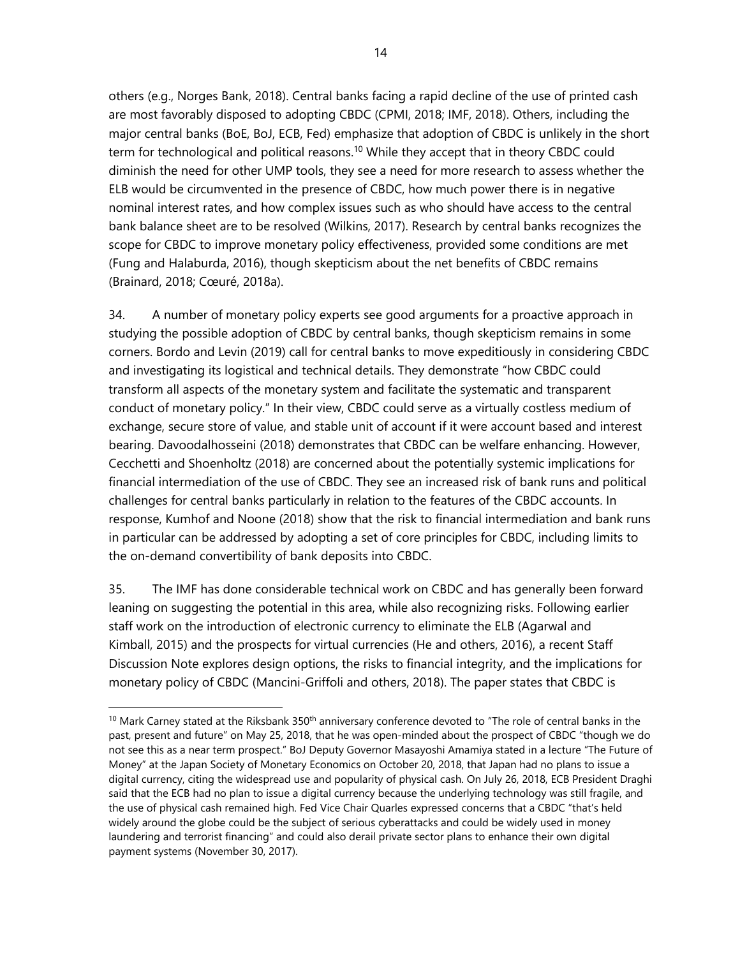others (e.g., Norges Bank, 2018). Central banks facing a rapid decline of the use of printed cash are most favorably disposed to adopting CBDC (CPMI, 2018; IMF, 2018). Others, including the major central banks (BoE, BoJ, ECB, Fed) emphasize that adoption of CBDC is unlikely in the short term for technological and political reasons.<sup>10</sup> While they accept that in theory CBDC could diminish the need for other UMP tools, they see a need for more research to assess whether the ELB would be circumvented in the presence of CBDC, how much power there is in negative nominal interest rates, and how complex issues such as who should have access to the central bank balance sheet are to be resolved (Wilkins, 2017). Research by central banks recognizes the scope for CBDC to improve monetary policy effectiveness, provided some conditions are met (Fung and Halaburda, 2016), though skepticism about the net benefits of CBDC remains (Brainard, 2018; Cœuré, 2018a).

34. A number of monetary policy experts see good arguments for a proactive approach in studying the possible adoption of CBDC by central banks, though skepticism remains in some corners. Bordo and Levin (2019) call for central banks to move expeditiously in considering CBDC and investigating its logistical and technical details. They demonstrate "how CBDC could transform all aspects of the monetary system and facilitate the systematic and transparent conduct of monetary policy." In their view, CBDC could serve as a virtually costless medium of exchange, secure store of value, and stable unit of account if it were account based and interest bearing. Davoodalhosseini (2018) demonstrates that CBDC can be welfare enhancing. However, Cecchetti and Shoenholtz (2018) are concerned about the potentially systemic implications for financial intermediation of the use of CBDC. They see an increased risk of bank runs and political challenges for central banks particularly in relation to the features of the CBDC accounts. In response, Kumhof and Noone (2018) show that the risk to financial intermediation and bank runs in particular can be addressed by adopting a set of core principles for CBDC, including limits to the on-demand convertibility of bank deposits into CBDC.

35. The IMF has done considerable technical work on CBDC and has generally been forward leaning on suggesting the potential in this area, while also recognizing risks. Following earlier staff work on the introduction of electronic currency to eliminate the ELB (Agarwal and Kimball, 2015) and the prospects for virtual currencies (He and others, 2016), a recent Staff Discussion Note explores design options, the risks to financial integrity, and the implications for monetary policy of CBDC (Mancini-Griffoli and others, 2018). The paper states that CBDC is

-

 $10$  Mark Carney stated at the Riksbank 350<sup>th</sup> anniversary conference devoted to "The role of central banks in the past, present and future" on May 25, 2018, that he was open-minded about the prospect of CBDC "though we do not see this as a near term prospect." BoJ Deputy Governor Masayoshi Amamiya stated in a lecture "The Future of Money" at the Japan Society of Monetary Economics on October 20, 2018, that Japan had no plans to issue a digital currency, citing the widespread use and popularity of physical cash. On July 26, 2018, ECB President Draghi said that the ECB had no plan to issue a digital currency because the underlying technology was still fragile, and the use of physical cash remained high. Fed Vice Chair Quarles expressed concerns that a CBDC "that's held widely around the globe could be the subject of serious cyberattacks and could be widely used in money laundering and terrorist financing" and could also derail private sector plans to enhance their own digital payment systems (November 30, 2017).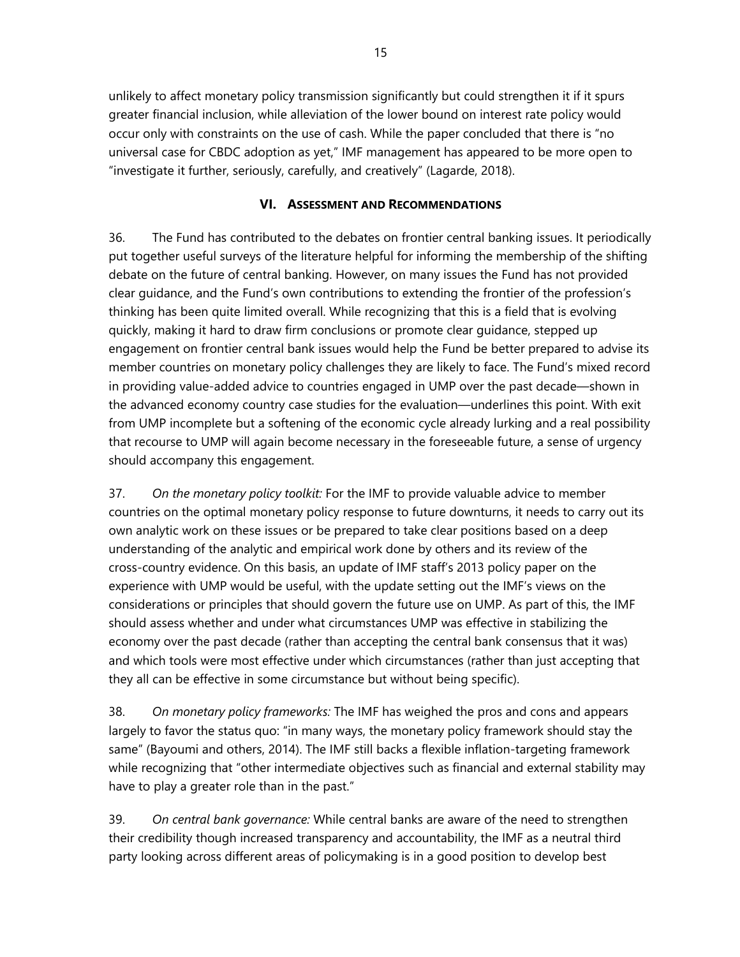unlikely to affect monetary policy transmission significantly but could strengthen it if it spurs greater financial inclusion, while alleviation of the lower bound on interest rate policy would occur only with constraints on the use of cash. While the paper concluded that there is "no universal case for CBDC adoption as yet," IMF management has appeared to be more open to "investigate it further, seriously, carefully, and creatively" (Lagarde, 2018).

#### **VI. ASSESSMENT AND RECOMMENDATIONS**

36. The Fund has contributed to the debates on frontier central banking issues. It periodically put together useful surveys of the literature helpful for informing the membership of the shifting debate on the future of central banking. However, on many issues the Fund has not provided clear guidance, and the Fund's own contributions to extending the frontier of the profession's thinking has been quite limited overall. While recognizing that this is a field that is evolving quickly, making it hard to draw firm conclusions or promote clear guidance, stepped up engagement on frontier central bank issues would help the Fund be better prepared to advise its member countries on monetary policy challenges they are likely to face. The Fund's mixed record in providing value-added advice to countries engaged in UMP over the past decade—shown in the advanced economy country case studies for the evaluation—underlines this point. With exit from UMP incomplete but a softening of the economic cycle already lurking and a real possibility that recourse to UMP will again become necessary in the foreseeable future, a sense of urgency should accompany this engagement.

37. *On the monetary policy toolkit:* For the IMF to provide valuable advice to member countries on the optimal monetary policy response to future downturns, it needs to carry out its own analytic work on these issues or be prepared to take clear positions based on a deep understanding of the analytic and empirical work done by others and its review of the cross-country evidence. On this basis, an update of IMF staff's 2013 policy paper on the experience with UMP would be useful, with the update setting out the IMF's views on the considerations or principles that should govern the future use on UMP. As part of this, the IMF should assess whether and under what circumstances UMP was effective in stabilizing the economy over the past decade (rather than accepting the central bank consensus that it was) and which tools were most effective under which circumstances (rather than just accepting that they all can be effective in some circumstance but without being specific).

38. *On monetary policy frameworks:* The IMF has weighed the pros and cons and appears largely to favor the status quo: "in many ways, the monetary policy framework should stay the same" (Bayoumi and others, 2014). The IMF still backs a flexible inflation-targeting framework while recognizing that "other intermediate objectives such as financial and external stability may have to play a greater role than in the past."

39. *On central bank governance:* While central banks are aware of the need to strengthen their credibility though increased transparency and accountability, the IMF as a neutral third party looking across different areas of policymaking is in a good position to develop best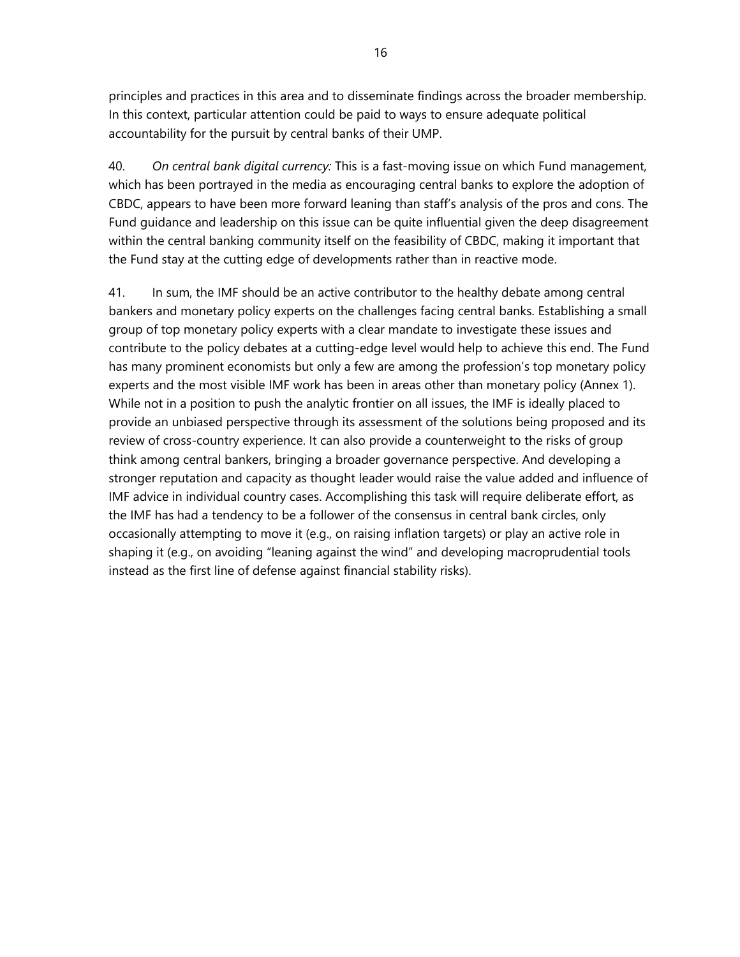principles and practices in this area and to disseminate findings across the broader membership. In this context, particular attention could be paid to ways to ensure adequate political accountability for the pursuit by central banks of their UMP.

40. *On central bank digital currency:* This is a fast-moving issue on which Fund management, which has been portrayed in the media as encouraging central banks to explore the adoption of CBDC, appears to have been more forward leaning than staff's analysis of the pros and cons. The Fund guidance and leadership on this issue can be quite influential given the deep disagreement within the central banking community itself on the feasibility of CBDC, making it important that the Fund stay at the cutting edge of developments rather than in reactive mode.

41. In sum, the IMF should be an active contributor to the healthy debate among central bankers and monetary policy experts on the challenges facing central banks. Establishing a small group of top monetary policy experts with a clear mandate to investigate these issues and contribute to the policy debates at a cutting-edge level would help to achieve this end. The Fund has many prominent economists but only a few are among the profession's top monetary policy experts and the most visible IMF work has been in areas other than monetary policy (Annex 1). While not in a position to push the analytic frontier on all issues, the IMF is ideally placed to provide an unbiased perspective through its assessment of the solutions being proposed and its review of cross-country experience. It can also provide a counterweight to the risks of group think among central bankers, bringing a broader governance perspective. And developing a stronger reputation and capacity as thought leader would raise the value added and influence of IMF advice in individual country cases. Accomplishing this task will require deliberate effort, as the IMF has had a tendency to be a follower of the consensus in central bank circles, only occasionally attempting to move it (e.g., on raising inflation targets) or play an active role in shaping it (e.g., on avoiding "leaning against the wind" and developing macroprudential tools instead as the first line of defense against financial stability risks).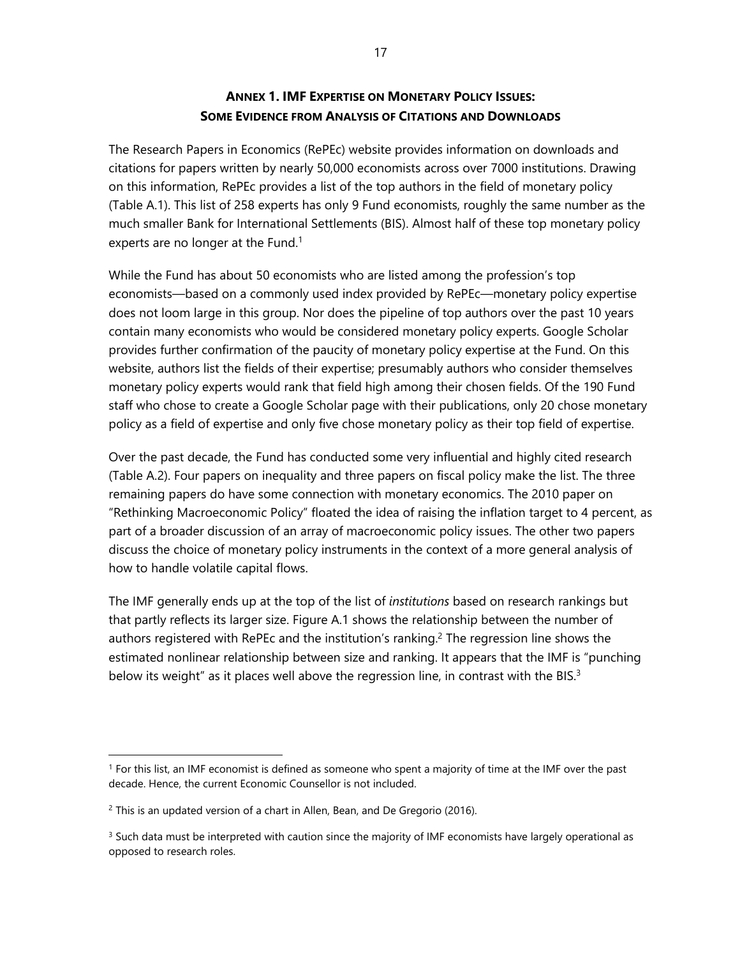## **ANNEX 1. IMF EXPERTISE ON MONETARY POLICY ISSUES: SOME EVIDENCE FROM ANALYSIS OF CITATIONS AND DOWNLOADS**

The Research Papers in Economics (RePEc) website provides information on downloads and citations for papers written by nearly 50,000 economists across over 7000 institutions. Drawing on this information, RePEc provides a list of the top authors in the field of monetary policy (Table A.1). This list of 258 experts has only 9 Fund economists, roughly the same number as the much smaller Bank for International Settlements (BIS). Almost half of these top monetary policy experts are no longer at the Fund.<sup>1</sup>

While the Fund has about 50 economists who are listed among the profession's top economists—based on a commonly used index provided by RePEc—monetary policy expertise does not loom large in this group. Nor does the pipeline of top authors over the past 10 years contain many economists who would be considered monetary policy experts. Google Scholar provides further confirmation of the paucity of monetary policy expertise at the Fund. On this website, authors list the fields of their expertise; presumably authors who consider themselves monetary policy experts would rank that field high among their chosen fields. Of the 190 Fund staff who chose to create a Google Scholar page with their publications, only 20 chose monetary policy as a field of expertise and only five chose monetary policy as their top field of expertise.

Over the past decade, the Fund has conducted some very influential and highly cited research (Table A.2). Four papers on inequality and three papers on fiscal policy make the list. The three remaining papers do have some connection with monetary economics. The 2010 paper on "Rethinking Macroeconomic Policy" floated the idea of raising the inflation target to 4 percent, as part of a broader discussion of an array of macroeconomic policy issues. The other two papers discuss the choice of monetary policy instruments in the context of a more general analysis of how to handle volatile capital flows.

The IMF generally ends up at the top of the list of *institutions* based on research rankings but that partly reflects its larger size. Figure A.1 shows the relationship between the number of authors registered with RePEc and the institution's ranking.<sup>2</sup> The regression line shows the estimated nonlinear relationship between size and ranking. It appears that the IMF is "punching below its weight" as it places well above the regression line, in contrast with the BIS. $3$ 

 $\overline{a}$ 

<sup>1</sup> For this list, an IMF economist is defined as someone who spent a majority of time at the IMF over the past decade. Hence, the current Economic Counsellor is not included.

 $2$  This is an updated version of a chart in Allen, Bean, and De Gregorio (2016).

 $3$  Such data must be interpreted with caution since the majority of IMF economists have largely operational as opposed to research roles.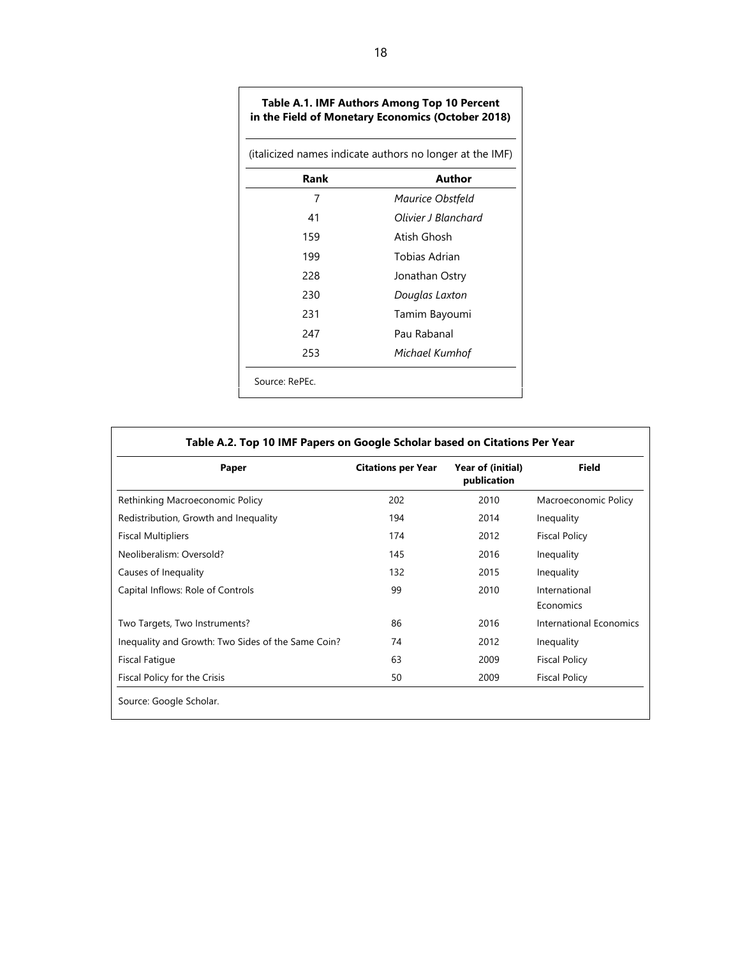| (italicized names indicate authors no longer at the IMF) |                     |  |  |  |
|----------------------------------------------------------|---------------------|--|--|--|
| Rank                                                     | Author              |  |  |  |
| 7                                                        | Maurice Obstfeld    |  |  |  |
| 41                                                       | Olivier J Blanchard |  |  |  |
| 159                                                      | Atish Ghosh         |  |  |  |
| 199                                                      | Tobias Adrian       |  |  |  |
| 228                                                      | Jonathan Ostry      |  |  |  |
| 230                                                      | Douglas Laxton      |  |  |  |
| 231                                                      | Tamim Bayoumi       |  |  |  |
| 247                                                      | Pau Rabanal         |  |  |  |
| 253                                                      | Michael Kumhof      |  |  |  |

Source: RePEc.

 $\sqrt{ }$ 

| Paper                                              | <b>Citations per Year</b> | Year of (initial)<br>publication | <b>Field</b>               |
|----------------------------------------------------|---------------------------|----------------------------------|----------------------------|
| Rethinking Macroeconomic Policy                    | 202                       | 2010                             | Macroeconomic Policy       |
| Redistribution, Growth and Inequality              | 194                       | 2014                             | Inequality                 |
| <b>Fiscal Multipliers</b>                          | 174                       | 2012                             | <b>Fiscal Policy</b>       |
| Neoliberalism: Oversold?                           | 145                       | 2016                             | Inequality                 |
| Causes of Inequality                               | 132                       | 2015                             | Inequality                 |
| Capital Inflows: Role of Controls                  | 99                        | 2010                             | International<br>Economics |
| Two Targets, Two Instruments?                      | 86                        | 2016                             | International Economics    |
| Inequality and Growth: Two Sides of the Same Coin? | 74                        | 2012                             | Inequality                 |
| <b>Fiscal Fatique</b>                              | 63                        | 2009                             | <b>Fiscal Policy</b>       |
| Fiscal Policy for the Crisis                       | 50                        | 2009                             | <b>Fiscal Policy</b>       |

# **Table A.1. IMF Authors Among Top 10 Percent**

 $\overline{\phantom{a}}$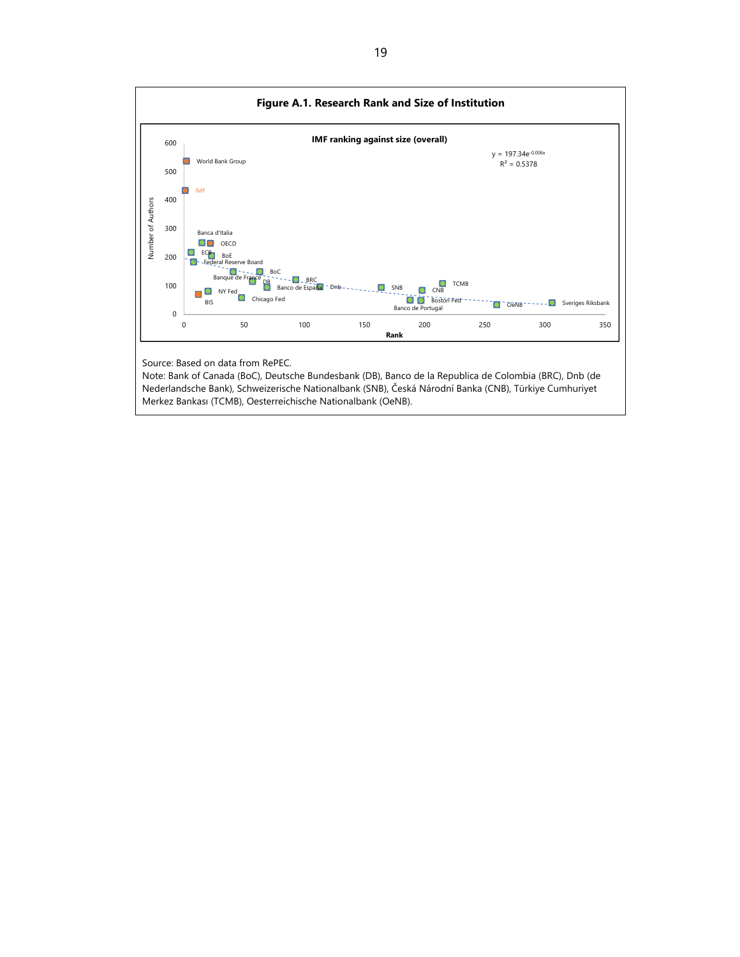

Source: Based on data from RePEC.

Note: Bank of Canada (BoC), Deutsche Bundesbank (DB), Banco de la Republica de Colombia (BRC), Dnb (de Nederlandsche Bank), Schweizerische Nationalbank (SNB), Česká Národní Banka (CNB), Türkiye Cumhuriyet Merkez Bankası (TCMB), Oesterreichische Nationalbank (OeNB).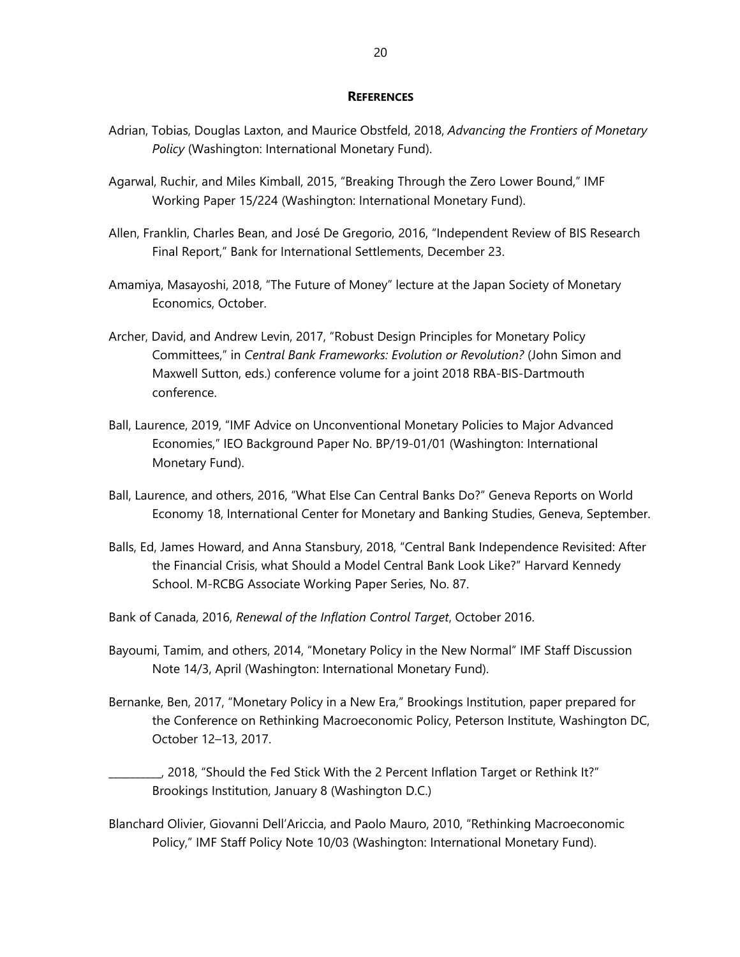#### **REFERENCES**

- Adrian, Tobias, Douglas Laxton, and Maurice Obstfeld, 2018, *Advancing the Frontiers of Monetary Policy* (Washington: International Monetary Fund).
- Agarwal, Ruchir, and Miles Kimball, 2015, "Breaking Through the Zero Lower Bound," IMF Working Paper 15/224 (Washington: International Monetary Fund).
- Allen, Franklin, Charles Bean, and José De Gregorio, 2016, "Independent Review of BIS Research Final Report," Bank for International Settlements, December 23.
- Amamiya, Masayoshi, 2018, "The Future of Money" lecture at the Japan Society of Monetary Economics, October.
- Archer, David, and Andrew Levin, 2017, "Robust Design Principles for Monetary Policy Committees," in *Central Bank Frameworks: Evolution or Revolution?* (John Simon and Maxwell Sutton, eds.) conference volume for a joint 2018 RBA-BIS-Dartmouth conference.
- Ball, Laurence, 2019, "IMF Advice on Unconventional Monetary Policies to Major Advanced Economies," IEO Background Paper No. BP/19-01/01 (Washington: International Monetary Fund).
- Ball, Laurence, and others, 2016, "What Else Can Central Banks Do?" Geneva Reports on World Economy 18, International Center for Monetary and Banking Studies, Geneva, September.
- Balls, Ed, James Howard, and Anna Stansbury, 2018, "Central Bank Independence Revisited: After the Financial Crisis, what Should a Model Central Bank Look Like?" Harvard Kennedy School. M-RCBG Associate Working Paper Series, No. 87.
- Bank of Canada, 2016, *Renewal of the Inflation Control Target*, October 2016.
- Bayoumi, Tamim, and others, 2014, "Monetary Policy in the New Normal" IMF Staff Discussion Note 14/3, April (Washington: International Monetary Fund).
- Bernanke, Ben, 2017, "Monetary Policy in a New Era," Brookings Institution, paper prepared for the Conference on Rethinking Macroeconomic Policy, Peterson Institute, Washington DC, October 12–13, 2017.
	- \_\_\_\_\_\_\_\_\_\_, 2018, "Should the Fed Stick With the 2 Percent Inflation Target or Rethink It?" Brookings Institution, January 8 (Washington D.C.)
- Blanchard Olivier, Giovanni Dell'Ariccia, and Paolo Mauro, 2010, "Rethinking Macroeconomic Policy," IMF Staff Policy Note 10/03 (Washington: International Monetary Fund).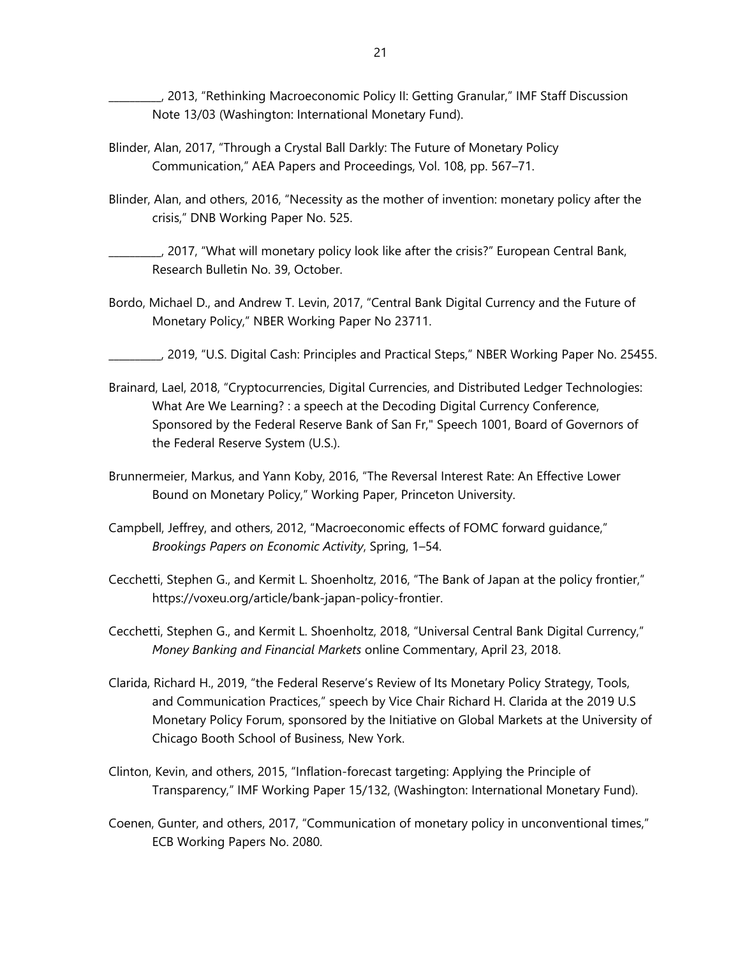\_\_\_\_\_\_\_\_\_\_, 2013, "Rethinking Macroeconomic Policy II: Getting Granular," IMF Staff Discussion Note 13/03 (Washington: International Monetary Fund).

- Blinder, Alan, 2017, "Through a Crystal Ball Darkly: The Future of Monetary Policy Communication," AEA Papers and Proceedings, Vol. 108, pp. 567–71.
- Blinder, Alan, and others, 2016, "Necessity as the mother of invention: monetary policy after the crisis," DNB Working Paper No. 525.
- \_\_\_\_\_\_\_\_\_\_, 2017, "What will monetary policy look like after the crisis?" European Central Bank, Research Bulletin No. 39, October.
- Bordo, Michael D., and Andrew T. Levin, 2017, "Central Bank Digital Currency and the Future of Monetary Policy," NBER Working Paper No 23711.
	- \_\_\_\_\_\_\_\_\_\_, 2019, "U.S. Digital Cash: Principles and Practical Steps," NBER Working Paper No. 25455.
- Brainard, Lael, 2018, "Cryptocurrencies, Digital Currencies, and Distributed Ledger Technologies: What Are We Learning? : a speech at the Decoding Digital Currency Conference, Sponsored by the Federal Reserve Bank of San Fr," Speech 1001, Board of Governors of the Federal Reserve System (U.S.).
- Brunnermeier, Markus, and Yann Koby, 2016, "The Reversal Interest Rate: An Effective Lower Bound on Monetary Policy," Working Paper, Princeton University.
- Campbell, Jeffrey, and others, 2012, "Macroeconomic effects of FOMC forward guidance," *Brookings Papers on Economic Activity*, Spring, 1–54.
- Cecchetti, Stephen G., and Kermit L. Shoenholtz, 2016, "The Bank of Japan at the policy frontier," https://voxeu.org/article/bank-japan-policy-frontier.
- Cecchetti, Stephen G., and Kermit L. Shoenholtz, 2018, "Universal Central Bank Digital Currency," *Money Banking and Financial Markets* online Commentary, April 23, 2018.
- Clarida, Richard H., 2019, "the Federal Reserve's Review of Its Monetary Policy Strategy, Tools, and Communication Practices," speech by Vice Chair Richard H. Clarida at the 2019 U.S Monetary Policy Forum, sponsored by the Initiative on Global Markets at the University of Chicago Booth School of Business, New York.
- Clinton, Kevin, and others, 2015, "Inflation-forecast targeting: Applying the Principle of Transparency," IMF Working Paper 15/132, (Washington: International Monetary Fund).
- Coenen, Gunter, and others, 2017, "Communication of monetary policy in unconventional times," ECB Working Papers No. 2080.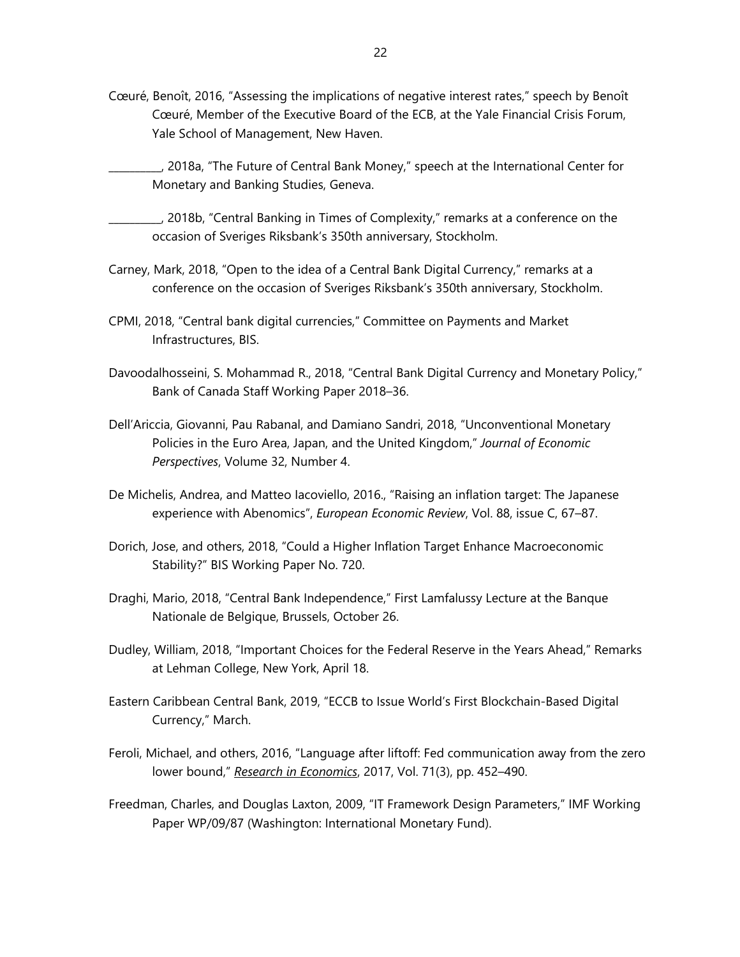- Cœuré, Benoît, 2016, "Assessing the implications of negative interest rates," speech by Benoît Cœuré, Member of the Executive Board of the ECB, at the Yale Financial Crisis Forum, Yale School of Management, New Haven.
	- \_\_\_\_\_\_\_\_\_\_, 2018a, "The Future of Central Bank Money," speech at the International Center for Monetary and Banking Studies, Geneva.
- \_\_\_\_\_\_\_\_\_\_, 2018b, "Central Banking in Times of Complexity," remarks at a conference on the occasion of Sveriges Riksbank's 350th anniversary, Stockholm.
- Carney, Mark, 2018, "Open to the idea of a Central Bank Digital Currency," remarks at a conference on the occasion of Sveriges Riksbank's 350th anniversary, Stockholm.
- CPMI, 2018, "Central bank digital currencies," Committee on Payments and Market Infrastructures, BIS.
- Davoodalhosseini, S. Mohammad R., 2018, "Central Bank Digital Currency and Monetary Policy," Bank of Canada Staff Working Paper 2018–36.
- Dell'Ariccia, Giovanni, Pau Rabanal, and Damiano Sandri, 2018, "Unconventional Monetary Policies in the Euro Area, Japan, and the United Kingdom," *Journal of Economic Perspectives*, Volume 32, Number 4.
- De Michelis, Andrea, and Matteo Iacoviello, 2016., "Raising an inflation target: The Japanese experience with Abenomics", *European Economic Review*, Vol. 88, issue C, 67–87.
- Dorich, Jose, and others, 2018, "Could a Higher Inflation Target Enhance Macroeconomic Stability?" BIS Working Paper No. 720.
- Draghi, Mario, 2018, "Central Bank Independence," First Lamfalussy Lecture at the Banque Nationale de Belgique, Brussels, October 26.
- Dudley, William, 2018, "Important Choices for the Federal Reserve in the Years Ahead," Remarks at Lehman College, New York, April 18.
- Eastern Caribbean Central Bank, 2019, "ECCB to Issue World's First Blockchain-Based Digital Currency," March.
- Feroli, Michael, and others, 2016, "Language after liftoff: Fed communication away from the zero lower bound," *Research in Economics*, 2017, Vol. 71(3), pp. 452–490.
- Freedman, Charles, and Douglas Laxton, 2009, "IT Framework Design Parameters," IMF Working Paper WP/09/87 (Washington: International Monetary Fund).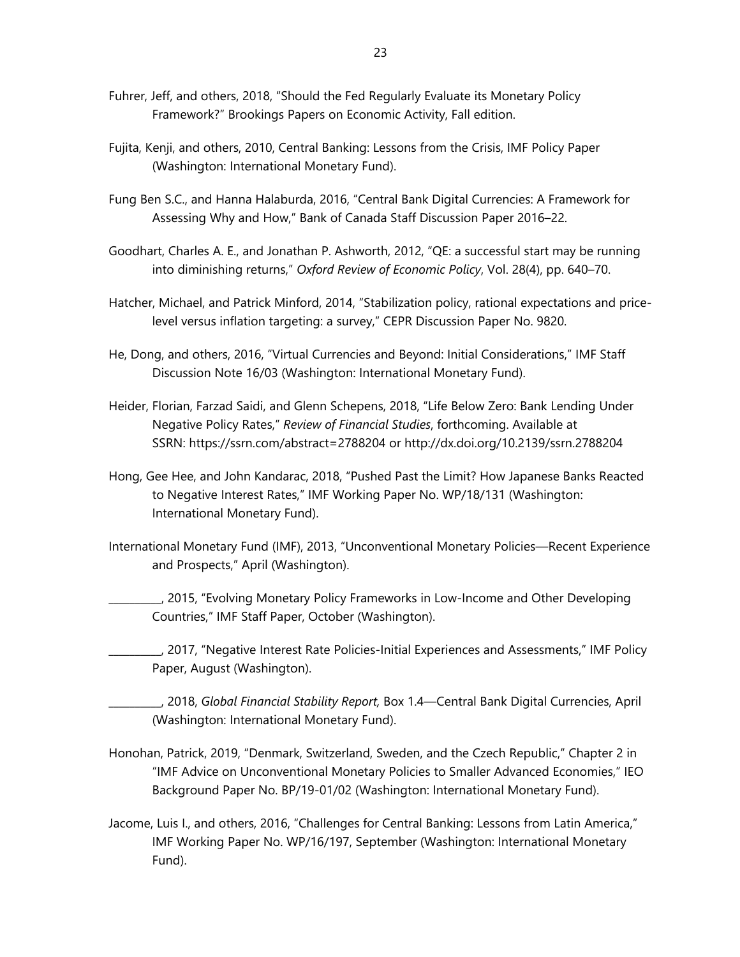- Fuhrer, Jeff, and others, 2018, "Should the Fed Regularly Evaluate its Monetary Policy Framework?" Brookings Papers on Economic Activity, Fall edition.
- Fujita, Kenji, and others, 2010, Central Banking: Lessons from the Crisis, IMF Policy Paper (Washington: International Monetary Fund).
- Fung Ben S.C., and Hanna Halaburda, 2016, "Central Bank Digital Currencies: A Framework for Assessing Why and How," Bank of Canada Staff Discussion Paper 2016–22.
- Goodhart, Charles A. E., and Jonathan P. Ashworth, 2012, "QE: a successful start may be running into diminishing returns," *Oxford Review of Economic Policy*, Vol. 28(4), pp. 640–70.
- Hatcher, Michael, and Patrick Minford, 2014, "Stabilization policy, rational expectations and pricelevel versus inflation targeting: a survey," CEPR Discussion Paper No. 9820.
- He, Dong, and others, 2016, "Virtual Currencies and Beyond: Initial Considerations," IMF Staff Discussion Note 16/03 (Washington: International Monetary Fund).
- Heider, Florian, Farzad Saidi, and Glenn Schepens, 2018, "Life Below Zero: Bank Lending Under Negative Policy Rates," *Review of Financial Studies*, forthcoming. Available at SSRN: https://ssrn.com/abstract=2788204 or http://dx.doi.org/10.2139/ssrn.2788204
- Hong, Gee Hee, and John Kandarac, 2018, "Pushed Past the Limit? How Japanese Banks Reacted to Negative Interest Rates," IMF Working Paper No. WP/18/131 (Washington: International Monetary Fund).
- International Monetary Fund (IMF), 2013, "Unconventional Monetary Policies—Recent Experience and Prospects," April (Washington).
- \_\_\_\_\_\_\_\_\_\_, 2015, "Evolving Monetary Policy Frameworks in Low-Income and Other Developing Countries," IMF Staff Paper, October (Washington).
- \_\_\_\_\_\_\_\_\_\_, 2017, "Negative Interest Rate Policies-Initial Experiences and Assessments," IMF Policy Paper, August (Washington).
	- \_\_\_\_\_\_\_\_\_\_, 2018, *Global Financial Stability Report,* Box 1.4—Central Bank Digital Currencies, April (Washington: International Monetary Fund).
- Honohan, Patrick, 2019, "Denmark, Switzerland, Sweden, and the Czech Republic," Chapter 2 in "IMF Advice on Unconventional Monetary Policies to Smaller Advanced Economies," IEO Background Paper No. BP/19-01/02 (Washington: International Monetary Fund).
- Jacome, Luis I., and others, 2016, "Challenges for Central Banking: Lessons from Latin America," IMF Working Paper No. WP/16/197, September (Washington: International Monetary Fund).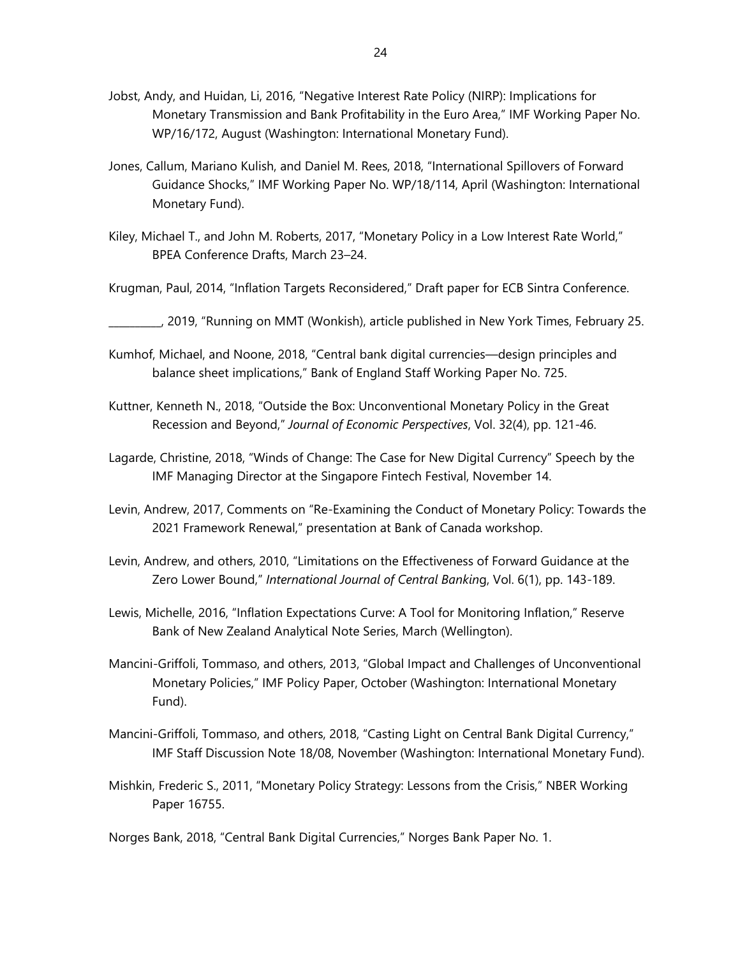- Jobst, Andy, and Huidan, Li, 2016, "Negative Interest Rate Policy (NIRP): Implications for Monetary Transmission and Bank Profitability in the Euro Area," IMF Working Paper No. WP/16/172, August (Washington: International Monetary Fund).
- Jones, Callum, Mariano Kulish, and Daniel M. Rees, 2018, "International Spillovers of Forward Guidance Shocks," IMF Working Paper No. WP/18/114, April (Washington: International Monetary Fund).
- Kiley, Michael T., and John M. Roberts, 2017, "Monetary Policy in a Low Interest Rate World," BPEA Conference Drafts, March 23–24.
- Krugman, Paul, 2014, "Inflation Targets Reconsidered," Draft paper for ECB Sintra Conference.
- \_\_\_\_\_\_\_\_\_\_, 2019, "Running on MMT (Wonkish), article published in New York Times, February 25.
- Kumhof, Michael, and Noone, 2018, "Central bank digital currencies—design principles and balance sheet implications," Bank of England Staff Working Paper No. 725.
- Kuttner, Kenneth N., 2018, "Outside the Box: Unconventional Monetary Policy in the Great Recession and Beyond," *Journal of Economic Perspectives*, Vol. 32(4), pp. 121-46.
- Lagarde, Christine, 2018, "Winds of Change: The Case for New Digital Currency" Speech by the IMF Managing Director at the Singapore Fintech Festival, November 14.
- Levin, Andrew, 2017, Comments on "Re-Examining the Conduct of Monetary Policy: Towards the 2021 Framework Renewal," presentation at Bank of Canada workshop.
- Levin, Andrew, and others, 2010, "Limitations on the Effectiveness of Forward Guidance at the Zero Lower Bound," *International Journal of Central Bankin*g, Vol. 6(1), pp. 143-189.
- Lewis, Michelle, 2016, "Inflation Expectations Curve: A Tool for Monitoring Inflation," Reserve Bank of New Zealand Analytical Note Series, March (Wellington).
- Mancini-Griffoli, Tommaso, and others, 2013, "Global Impact and Challenges of Unconventional Monetary Policies," IMF Policy Paper, October (Washington: International Monetary Fund).
- Mancini-Griffoli, Tommaso, and others, 2018, "Casting Light on Central Bank Digital Currency," IMF Staff Discussion Note 18/08, November (Washington: International Monetary Fund).
- Mishkin, Frederic S., 2011, "Monetary Policy Strategy: Lessons from the Crisis," NBER Working Paper 16755.

Norges Bank, 2018, "Central Bank Digital Currencies," Norges Bank Paper No. 1.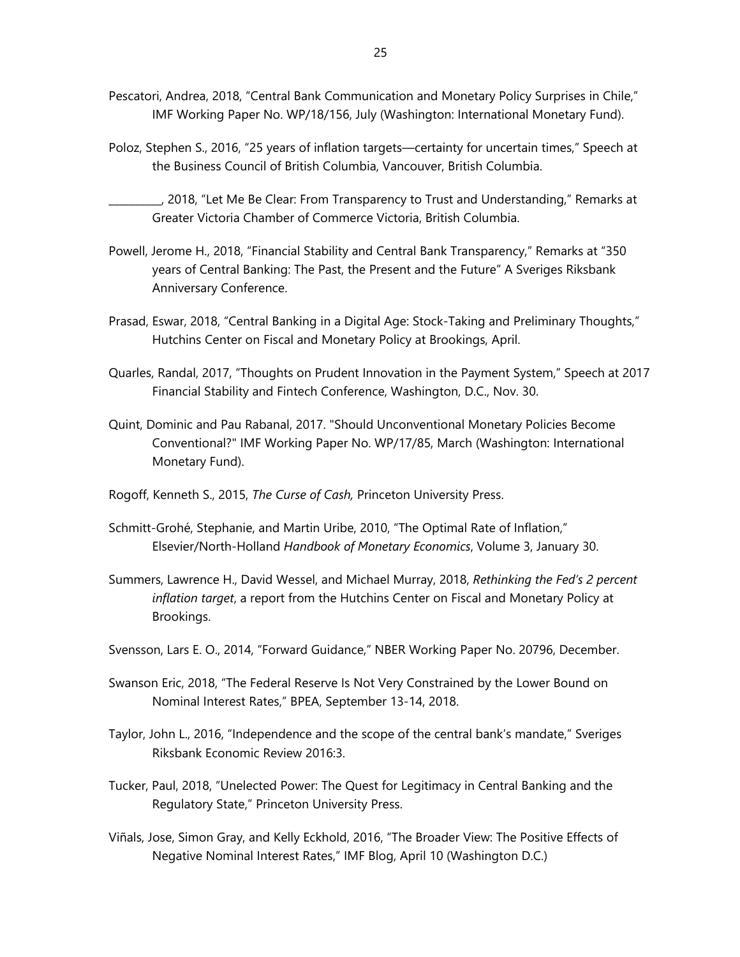- Pescatori, Andrea, 2018, "Central Bank Communication and Monetary Policy Surprises in Chile," IMF Working Paper No. WP/18/156, July (Washington: International Monetary Fund).
- Poloz, Stephen S., 2016, "25 years of inflation targets—certainty for uncertain times," Speech at the Business Council of British Columbia, Vancouver, British Columbia.
- \_\_\_\_\_\_\_\_\_\_, 2018, "Let Me Be Clear: From Transparency to Trust and Understanding," Remarks at Greater Victoria Chamber of Commerce Victoria, British Columbia.
- Powell, Jerome H., 2018, "Financial Stability and Central Bank Transparency," Remarks at "350 years of Central Banking: The Past, the Present and the Future" A Sveriges Riksbank Anniversary Conference.
- Prasad, Eswar, 2018, "Central Banking in a Digital Age: Stock-Taking and Preliminary Thoughts," Hutchins Center on Fiscal and Monetary Policy at Brookings, April.
- Quarles, Randal, 2017, "Thoughts on Prudent Innovation in the Payment System," Speech at 2017 Financial Stability and Fintech Conference, Washington, D.C., Nov. 30.
- Quint, Dominic and Pau Rabanal, 2017. "Should Unconventional Monetary Policies Become Conventional?" IMF Working Paper No. WP/17/85, March (Washington: International Monetary Fund).
- Rogoff, Kenneth S., 2015, *The Curse of Cash,* Princeton University Press.
- Schmitt-Grohé, Stephanie, and Martin Uribe, 2010, "The Optimal Rate of Inflation," Elsevier/North-Holland *Handbook of Monetary Economics*, Volume 3, January 30.
- Summers, Lawrence H., David Wessel, and Michael Murray, 2018, *Rethinking the Fed's 2 percent inflation target*, a report from the Hutchins Center on Fiscal and Monetary Policy at Brookings.
- Svensson, Lars E. O., 2014, "Forward Guidance," NBER Working Paper No. 20796, December.
- Swanson Eric, 2018, "The Federal Reserve Is Not Very Constrained by the Lower Bound on Nominal Interest Rates," BPEA, September 13-14, 2018.
- Taylor, John L., 2016, "Independence and the scope of the central bank's mandate," Sveriges Riksbank Economic Review 2016:3.
- Tucker, Paul, 2018, "Unelected Power: The Quest for Legitimacy in Central Banking and the Regulatory State," Princeton University Press.
- Viñals, Jose, Simon Gray, and Kelly Eckhold, 2016, "The Broader View: The Positive Effects of Negative Nominal Interest Rates," IMF Blog, April 10 (Washington D.C.)